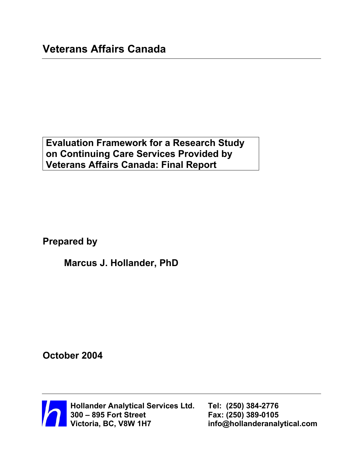**Evaluation Framework for a Research Study on Continuing Care Services Provided by Veterans Affairs Canada: Final Report** 

**Prepared by** 

**Marcus J. Hollander, PhD** 

**October 2004**



 **Hollander Analytical Services Ltd. Tel: (250) 384-2776 300 – 895 Fort Street Fax: (250) 389-0105** 

 $info@hollanderanalytical.com$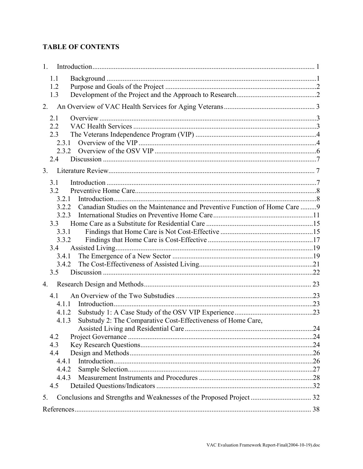# **TABLE OF CONTENTS**

| 1.                                                                                   |  |
|--------------------------------------------------------------------------------------|--|
| 1.1                                                                                  |  |
| 1.2                                                                                  |  |
| 1.3                                                                                  |  |
| 2.                                                                                   |  |
| 2.1                                                                                  |  |
| 2.2                                                                                  |  |
| 2.3                                                                                  |  |
| 2.3.1                                                                                |  |
|                                                                                      |  |
| 2.4                                                                                  |  |
| 3.                                                                                   |  |
| 3.1                                                                                  |  |
| 3.2                                                                                  |  |
| 3.2.1                                                                                |  |
| Canadian Studies on the Maintenance and Preventive Function of Home Care  9<br>3.2.2 |  |
| 3.2.3                                                                                |  |
| 33                                                                                   |  |
| 3.3.1                                                                                |  |
| 3.3.2                                                                                |  |
| 3.4                                                                                  |  |
| 3.4.1                                                                                |  |
| 3.4.2                                                                                |  |
| 3.5                                                                                  |  |
| 4.                                                                                   |  |
| 4.1                                                                                  |  |
| 4.1.1                                                                                |  |
| 4.1.2                                                                                |  |
| Substudy 2: The Comparative Cost-Effectiveness of Home Care,<br>4.1.3                |  |
|                                                                                      |  |
| 4.2                                                                                  |  |
| 4.3                                                                                  |  |
| 4.4                                                                                  |  |
| 4.4.1                                                                                |  |
| 4.4.2                                                                                |  |
| 4.4.3                                                                                |  |
| 4.5                                                                                  |  |
| 5.                                                                                   |  |
|                                                                                      |  |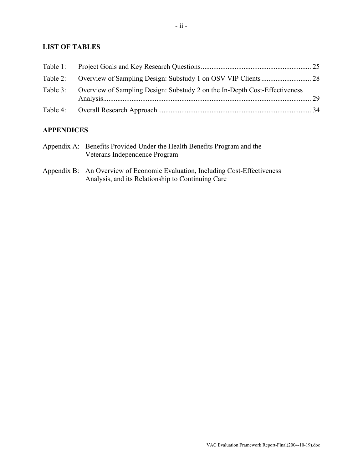# **LIST OF TABLES**

| Table 3: Overview of Sampling Design: Substudy 2 on the In-Depth Cost-Effectiveness |  |
|-------------------------------------------------------------------------------------|--|
|                                                                                     |  |

# **APPENDICES**

| Appendix A: Benefits Provided Under the Health Benefits Program and the                                                                                                                                                                                                                                                                                                                                                                                                                    |  |
|--------------------------------------------------------------------------------------------------------------------------------------------------------------------------------------------------------------------------------------------------------------------------------------------------------------------------------------------------------------------------------------------------------------------------------------------------------------------------------------------|--|
| Veterans Independence Program                                                                                                                                                                                                                                                                                                                                                                                                                                                              |  |
| $\blacksquare$ $\blacksquare$ $\blacksquare$ $\blacksquare$ $\blacksquare$ $\blacksquare$ $\blacksquare$ $\blacksquare$ $\blacksquare$ $\blacksquare$ $\blacksquare$ $\blacksquare$ $\blacksquare$ $\blacksquare$ $\blacksquare$ $\blacksquare$ $\blacksquare$ $\blacksquare$ $\blacksquare$ $\blacksquare$ $\blacksquare$ $\blacksquare$ $\blacksquare$ $\blacksquare$ $\blacksquare$ $\blacksquare$ $\blacksquare$ $\blacksquare$ $\blacksquare$ $\blacksquare$ $\blacksquare$ $\blacks$ |  |

Appendix B: An Overview of Economic Evaluation, Including Cost-Effectiveness Analysis, and its Relationship to Continuing Care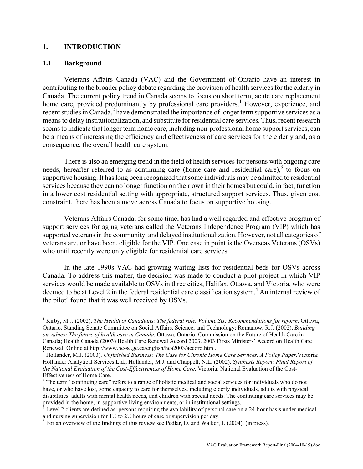# <span id="page-3-0"></span>**1. INTRODUCTION**

#### **1.1 Background**

 $\overline{a}$ 

Veterans Affairs Canada (VAC) and the Government of Ontario have an interest in contributing to the broader policy debate regarding the provision of health services for the elderly in Canada. The current policy trend in Canada seems to focus on short term, acute care replacement home care, provided predominantly by professional care providers.<sup>1</sup> However, experience, and recent studies in Canada,<sup>[2](#page-3-2)</sup> have demonstrated the importance of longer term supportive services as a means to delay institutionalization, and substitute for residential care services. Thus, recent research seems to indicate that longer term home care, including non-professional home support services, can be a means of increasing the efficiency and effectiveness of care services for the elderly and, as a consequence, the overall health care system.

There is also an emerging trend in the field of health services for persons with ongoing care needs, hereafter referred to as continuing care (home care and residential care), $3$  to focus on supportive housing. It has long been recognized that some individuals may be admitted to residential services because they can no longer function on their own in their homes but could, in fact, function in a lower cost residential setting with appropriate, structured support services. Thus, given cost constraint, there has been a move across Canada to focus on supportive housing.

Veterans Affairs Canada, for some time, has had a well regarded and effective program of support services for aging veterans called the Veterans Independence Program (VIP) which has supported veterans in the community, and delayed institutionalization. However, not all categories of veterans are, or have been, eligible for the VIP. One case in point is the Overseas Veterans (OSVs) who until recently were only eligible for residential care services.

In the late 1990s VAC had growing waiting lists for residential beds for OSVs across Canada. To address this matter, the decision was made to conduct a pilot project in which VIP services would be made available to OSVs in three cities, Halifax, Ottawa, and Victoria, who were deemed to be at Level 2 in the federal residential care classification system.<sup>4</sup> An internal review of the pilot<sup>5</sup> found that it was well received by OSVs.

<span id="page-3-1"></span><sup>&</sup>lt;sup>1</sup> Kirby, M.J. (2002). *The Health of Canadians: The federal role. Volume Six: Recommendations for reform. Ottawa,* Ontario, Standing Senate Committee on Social Affairs, Science, and Technology; Romanow, R.J. (2002). *Building on values: The future of health care in Canada*. Ottawa, Ontario: Commission on the Future of Health Care in Canada; Health Canada (2003) Health Care Renewal Accord 2003. 2003 Firsts Ministers' Accord on Health Care Renewal. Online at http://www.hc-sc.gc.ca/english/hca2003/accord.html. 2

<span id="page-3-2"></span>Hollander, M.J. (2003). *Unfinished Business: The Case for Chronic Home Care Services, A Policy Paper.*Victoria: Hollander Analytical Services Ltd.; Hollander, M.J. and Chappell, N.L. (2002). *Synthesis Report: Final Report of the National Evaluation of the Cost-Effectiveness of Home Care*. Victoria: National Evaluation of the Cost-Effectiveness of Home Care. 3

<span id="page-3-3"></span><sup>&</sup>lt;sup>3</sup> The term "continuing care" refers to a range of holistic medical and social services for individuals who do not have, or who have lost, some capacity to care for themselves, including elderly individuals, adults with physical disabilities, adults with mental health needs, and children with special needs. The continuing care services may be provided in the home, in supportive living environments, or in institutional settings.<br><sup>4</sup> Level 2 clients are defined as: persons requiring the availability of personal care on a 24-hour basis under medical

<span id="page-3-4"></span>and nursing supervision for  $1\frac{1}{2}$  to  $2\frac{1}{2}$  hours of care or supervision per day.<br><sup>5</sup> For an overview of the findings of this review see Pedlar, D. and Walker, J. (2004). (in press).

<span id="page-3-5"></span>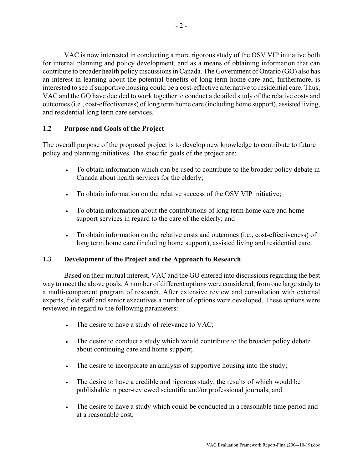<span id="page-4-0"></span>VAC is now interested in conducting a more rigorous study of the OSV VIP initiative both for internal planning and policy development, and as a means of obtaining information that can contribute to broader health policy discussions in Canada. The Government of Ontario (GO) also has an interest in learning about the potential benefits of long term home care and, furthermore, is interested to see if supportive housing could be a cost-effective alternative to residential care. Thus, VAC and the GO have decided to work together to conduct a detailed study of the relative costs and outcomes (i.e., cost-effectiveness) of long term home care (including home support), assisted living, and residential long term care services.

# **1.2 Purpose and Goals of the Project**

The overall purpose of the proposed project is to develop new knowledge to contribute to future policy and planning initiatives. The specific goals of the project are:

- To obtain information which can be used to contribute to the broader policy debate in Canada about health services for the elderly;
- To obtain information on the relative success of the OSV VIP initiative;
- To obtain information about the contributions of long term home care and home support services in regard to the care of the elderly; and
- To obtain information on the relative costs and outcomes (i.e., cost-effectiveness) of long term home care (including home support), assisted living and residential care.

# **1.3 Development of the Project and the Approach to Research**

Based on their mutual interest, VAC and the GO entered into discussions regarding the best way to meet the above goals. A number of different options were considered, from one large study to a multi-component program of research. After extensive review and consultation with external experts, field staff and senior executives a number of options were developed. These options were reviewed in regard to the following parameters:

- The desire to have a study of relevance to VAC;
- The desire to conduct a study which would contribute to the broader policy debate about continuing care and home support;
- The desire to incorporate an analysis of supportive housing into the study;
- The desire to have a credible and rigorous study, the results of which would be publishable in peer-reviewed scientific and/or professional journals; and
- The desire to have a study which could be conducted in a reasonable time period and at a reasonable cost.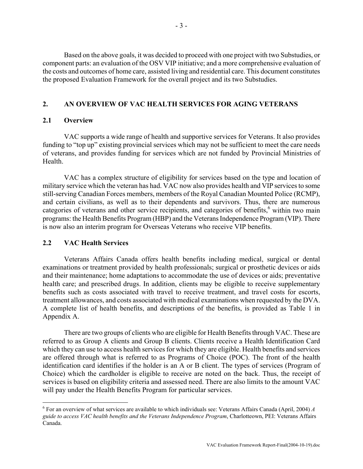<span id="page-5-0"></span>Based on the above goals, it was decided to proceed with one project with two Substudies, or component parts: an evaluation of the OSV VIP initiative; and a more comprehensive evaluation of the costs and outcomes of home care, assisted living and residential care. This document constitutes the proposed Evaluation Framework for the overall project and its two Substudies.

# **2. AN OVERVIEW OF VAC HEALTH SERVICES FOR AGING VETERANS**

#### **2.1 Overview**

VAC supports a wide range of health and supportive services for Veterans. It also provides funding to "top up" existing provincial services which may not be sufficient to meet the care needs of veterans, and provides funding for services which are not funded by Provincial Ministries of Health.

VAC has a complex structure of eligibility for services based on the type and location of military service which the veteran has had. VAC now also provides health and VIP services to some still-serving Canadian Forces members, members of the Royal Canadian Mounted Police (RCMP), and certain civilians, as well as to their dependents and survivors. Thus, there are numerous categories of veterans and other service recipients, and categories of benefits,<sup>6</sup> within two main programs: the Health Benefits Program (HBP) and the Veterans Independence Program (VIP). There is now also an interim program for Overseas Veterans who receive VIP benefits.

# **2.2 VAC Health Services**

 $\overline{a}$ 

Veterans Affairs Canada offers health benefits including medical, surgical or dental examinations or treatment provided by health professionals; surgical or prosthetic devices or aids and their maintenance; home adaptations to accommodate the use of devices or aids; preventative health care; and prescribed drugs. In addition, clients may be eligible to receive supplementary benefits such as costs associated with travel to receive treatment, and travel costs for escorts, treatment allowances, and costs associated with medical examinations when requested by the DVA. A complete list of health benefits, and descriptions of the benefits, is provided as Table 1 in Appendix A.

There are two groups of clients who are eligible for Health Benefits through VAC. These are referred to as Group A clients and Group B clients. Clients receive a Health Identification Card which they can use to access health services for which they are eligible. Health benefits and services are offered through what is referred to as Programs of Choice (POC). The front of the health identification card identifies if the holder is an A or B client. The types of services (Program of Choice) which the cardholder is eligible to receive are noted on the back. Thus, the receipt of services is based on eligibility criteria and assessed need. There are also limits to the amount VAC will pay under the Health Benefits Program for particular services.

<span id="page-5-1"></span><sup>6</sup> For an overview of what services are available to which individuals see: Veterans Affairs Canada (April, 2004) *A guide to access VAC health benefits and the Veterans Independence Program*, Charlotteown, PEI: Veterans Affairs Canada.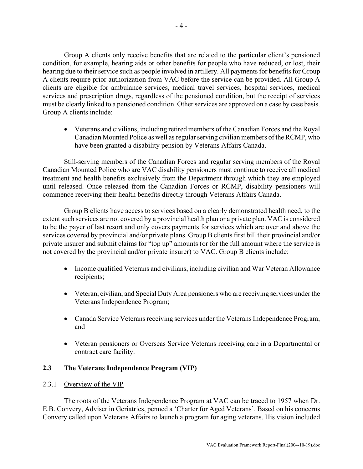<span id="page-6-0"></span>Group A clients only receive benefits that are related to the particular client's pensioned condition, for example, hearing aids or other benefits for people who have reduced, or lost, their hearing due to their service such as people involved in artillery. All payments for benefits for Group A clients require prior authorization from VAC before the service can be provided. All Group A clients are eligible for ambulance services, medical travel services, hospital services, medical services and prescription drugs, regardless of the pensioned condition, but the receipt of services must be clearly linked to a pensioned condition. Other services are approved on a case by case basis. Group A clients include:

• Veterans and civilians, including retired members of the Canadian Forces and the Royal Canadian Mounted Police as well as regular serving civilian members of the RCMP, who have been granted a disability pension by Veterans Affairs Canada.

Still-serving members of the Canadian Forces and regular serving members of the Royal Canadian Mounted Police who are VAC disability pensioners must continue to receive all medical treatment and health benefits exclusively from the Department through which they are employed until released. Once released from the Canadian Forces or RCMP, disability pensioners will commence receiving their health benefits directly through Veterans Affairs Canada.

Group B clients have access to services based on a clearly demonstrated health need, to the extent such services are not covered by a provincial health plan or a private plan. VAC is considered to be the payer of last resort and only covers payments for services which are over and above the services covered by provincial and/or private plans. Group B clients first bill their provincial and/or private insurer and submit claims for "top up" amounts (or for the full amount where the service is not covered by the provincial and/or private insurer) to VAC. Group B clients include:

- Income qualified Veterans and civilians, including civilian and War Veteran Allowance recipients;
- Veteran, civilian, and Special Duty Area pensioners who are receiving services under the Veterans Independence Program;
- Canada Service Veterans receiving services under the Veterans Independence Program; and
- Veteran pensioners or Overseas Service Veterans receiving care in a Departmental or contract care facility.

# **2.3 The Veterans Independence Program (VIP)**

# 2.3.1 Overview of the VIP

The roots of the Veterans Independence Program at VAC can be traced to 1957 when Dr. E.B. Convery, Adviser in Geriatrics, penned a 'Charter for Aged Veterans'. Based on his concerns Convery called upon Veterans Affairs to launch a program for aging veterans. His vision included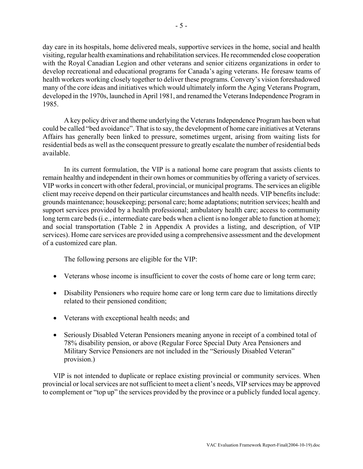day care in its hospitals, home delivered meals, supportive services in the home, social and health visiting, regular health examinations and rehabilitation services. He recommended close cooperation with the Royal Canadian Legion and other veterans and senior citizens organizations in order to develop recreational and educational programs for Canada's aging veterans. He foresaw teams of health workers working closely together to deliver these programs. Convery's vision foreshadowed many of the core ideas and initiatives which would ultimately inform the Aging Veterans Program, developed in the 1970s, launched in April 1981, and renamed the Veterans Independence Program in 1985.

A key policy driver and theme underlying the Veterans Independence Program has been what could be called "bed avoidance". That is to say, the development of home care initiatives at Veterans Affairs has generally been linked to pressure, sometimes urgent, arising from waiting lists for residential beds as well as the consequent pressure to greatly escalate the number of residential beds available.

In its current formulation, the VIP is a national home care program that assists clients to remain healthy and independent in their own homes or communities by offering a variety of services. VIP works in concert with other federal, provincial, or municipal programs. The services an eligible client may receive depend on their particular circumstances and health needs. VIP benefits include: grounds maintenance; housekeeping; personal care; home adaptations; nutrition services; health and support services provided by a health professional; ambulatory health care; access to community long term care beds (i.e., intermediate care beds when a client is no longer able to function at home); and social transportation (Table 2 in Appendix A provides a listing, and description, of VIP services). Home care services are provided using a comprehensive assessment and the development of a customized care plan.

The following persons are eligible for the VIP:

- Veterans whose income is insufficient to cover the costs of home care or long term care;
- Disability Pensioners who require home care or long term care due to limitations directly related to their pensioned condition;
- Veterans with exceptional health needs; and
- Seriously Disabled Veteran Pensioners meaning anyone in receipt of a combined total of 78% disability pension, or above (Regular Force Special Duty Area Pensioners and Military Service Pensioners are not included in the "Seriously Disabled Veteran" provision.)

VIP is not intended to duplicate or replace existing provincial or community services. When provincial or local services are not sufficient to meet a client's needs, VIP services may be approved to complement or "top up" the services provided by the province or a publicly funded local agency.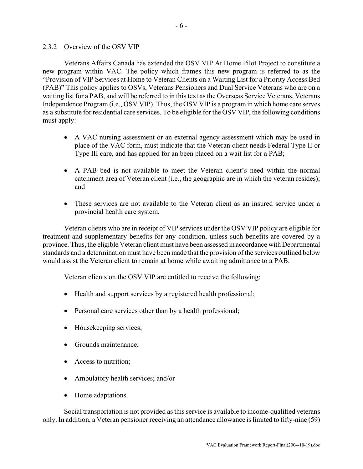#### <span id="page-8-0"></span>2.3.2 Overview of the OSV VIP

Veterans Affairs Canada has extended the OSV VIP At Home Pilot Project to constitute a new program within VAC. The policy which frames this new program is referred to as the "Provision of VIP Services at Home to Veteran Clients on a Waiting List for a Priority Access Bed (PAB)" This policy applies to OSVs, Veterans Pensioners and Dual Service Veterans who are on a waiting list for a PAB, and will be referred to in this text as the Overseas Service Veterans, Veterans Independence Program (i.e., OSV VIP). Thus, the OSV VIP is a program in which home care serves as a substitute for residential care services. To be eligible for the OSV VIP, the following conditions must apply:

- A VAC nursing assessment or an external agency assessment which may be used in place of the VAC form, must indicate that the Veteran client needs Federal Type II or Type III care, and has applied for an been placed on a wait list for a PAB;
- A PAB bed is not available to meet the Veteran client's need within the normal catchment area of Veteran client (i.e., the geographic are in which the veteran resides); and
- These services are not available to the Veteran client as an insured service under a provincial health care system.

Veteran clients who are in receipt of VIP services under the OSV VIP policy are eligible for treatment and supplementary benefits for any condition, unless such benefits are covered by a province. Thus, the eligible Veteran client must have been assessed in accordance with Departmental standards and a determination must have been made that the provision of the services outlined below would assist the Veteran client to remain at home while awaiting admittance to a PAB.

Veteran clients on the OSV VIP are entitled to receive the following:

- Health and support services by a registered health professional;
- Personal care services other than by a health professional;
- Housekeeping services;
- Grounds maintenance;
- Access to nutrition;
- Ambulatory health services; and/or
- Home adaptations.

Social transportation is not provided as this service is available to income-qualified veterans only. In addition, a Veteran pensioner receiving an attendance allowance is limited to fifty-nine (59)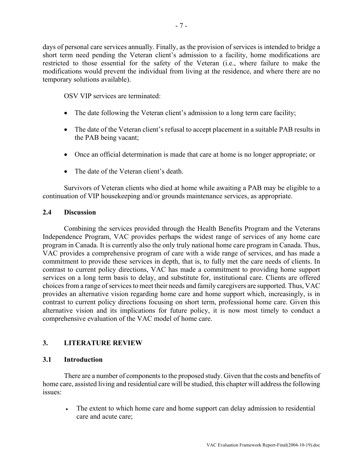<span id="page-9-0"></span>days of personal care services annually. Finally, as the provision of services is intended to bridge a short term need pending the Veteran client's admission to a facility, home modifications are restricted to those essential for the safety of the Veteran (i.e., where failure to make the modifications would prevent the individual from living at the residence, and where there are no temporary solutions available).

OSV VIP services are terminated:

- The date following the Veteran client's admission to a long term care facility;
- The date of the Veteran client's refusal to accept placement in a suitable PAB results in the PAB being vacant;
- Once an official determination is made that care at home is no longer appropriate; or
- The date of the Veteran client's death.

Survivors of Veteran clients who died at home while awaiting a PAB may be eligible to a continuation of VIP housekeeping and/or grounds maintenance services, as appropriate.

# **2.4 Discussion**

Combining the services provided through the Health Benefits Program and the Veterans Independence Program, VAC provides perhaps the widest range of services of any home care program in Canada. It is currently also the only truly national home care program in Canada. Thus, VAC provides a comprehensive program of care with a wide range of services, and has made a commitment to provide these services in depth, that is, to fully met the care needs of clients. In contrast to current policy directions, VAC has made a commitment to providing home support services on a long term basis to delay, and substitute for, institutional care. Clients are offered choices from a range of services to meet their needs and family caregivers are supported. Thus, VAC provides an alternative vision regarding home care and home support which, increasingly, is in contrast to current policy directions focusing on short term, professional home care. Given this alternative vision and its implications for future policy, it is now most timely to conduct a comprehensive evaluation of the VAC model of home care.

# **3. LITERATURE REVIEW**

# **3.1 Introduction**

There are a number of components to the proposed study. Given that the costs and benefits of home care, assisted living and residential care will be studied, this chapter will address the following issues:

• The extent to which home care and home support can delay admission to residential care and acute care;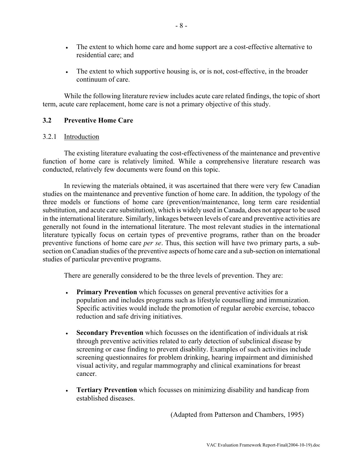- <span id="page-10-0"></span>• The extent to which home care and home support are a cost-effective alternative to residential care; and
- The extent to which supportive housing is, or is not, cost-effective, in the broader continuum of care.

While the following literature review includes acute care related findings, the topic of short term, acute care replacement, home care is not a primary objective of this study.

# **3.2 Preventive Home Care**

#### 3.2.1 Introduction

The existing literature evaluating the cost-effectiveness of the maintenance and preventive function of home care is relatively limited. While a comprehensive literature research was conducted, relatively few documents were found on this topic.

In reviewing the materials obtained, it was ascertained that there were very few Canadian studies on the maintenance and preventive function of home care. In addition, the typology of the three models or functions of home care (prevention/maintenance, long term care residential substitution, and acute care substitution), which is widely used in Canada, does not appear to be used in the international literature. Similarly, linkages between levels of care and preventive activities are generally not found in the international literature. The most relevant studies in the international literature typically focus on certain types of preventive programs, rather than on the broader preventive functions of home care *per se*. Thus, this section will have two primary parts, a subsection on Canadian studies of the preventive aspects of home care and a sub-section on international studies of particular preventive programs.

There are generally considered to be the three levels of prevention. They are:

- **Primary Prevention** which focusses on general preventive activities for a population and includes programs such as lifestyle counselling and immunization. Specific activities would include the promotion of regular aerobic exercise, tobacco reduction and safe driving initiatives.
- **Secondary Prevention** which focusses on the identification of individuals at risk through preventive activities related to early detection of subclinical disease by screening or case finding to prevent disability. Examples of such activities include screening questionnaires for problem drinking, hearing impairment and diminished visual activity, and regular mammography and clinical examinations for breast cancer.
- **Tertiary Prevention** which focusses on minimizing disability and handicap from established diseases.

(Adapted from Patterson and Chambers, 1995)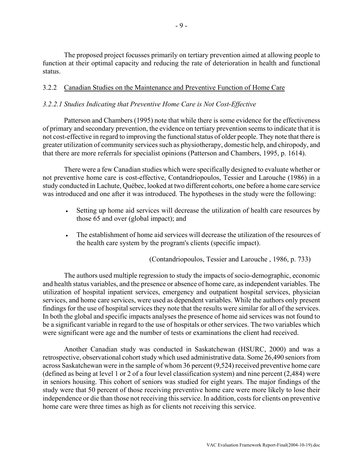<span id="page-11-0"></span>The proposed project focusses primarily on tertiary prevention aimed at allowing people to function at their optimal capacity and reducing the rate of deterioration in health and functional status.

# 3.2.2 Canadian Studies on the Maintenance and Preventive Function of Home Care

# *3.2.2.1 Studies Indicating that Preventive Home Care is Not Cost-Effective*

Patterson and Chambers (1995) note that while there is some evidence for the effectiveness of primary and secondary prevention, the evidence on tertiary prevention seems to indicate that it is not cost-effective in regard to improving the functional status of older people. They note that there is greater utilization of community services such as physiotherapy, domestic help, and chiropody, and that there are more referrals for specialist opinions (Patterson and Chambers, 1995, p. 1614).

There were a few Canadian studies which were specifically designed to evaluate whether or not preventive home care is cost-effective, Contandriopoulos, Tessier and Larouche (1986) in a study conducted in Lachute, Québec, looked at two different cohorts, one before a home care service was introduced and one after it was introduced. The hypotheses in the study were the following:

- Setting up home aid services will decrease the utilization of health care resources by those 65 and over (global impact); and
- The establishment of home aid services will decrease the utilization of the resources of the health care system by the program's clients (specific impact).

(Contandriopoulos, Tessier and Larouche , 1986, p. 733)

The authors used multiple regression to study the impacts of socio-demographic, economic and health status variables, and the presence or absence of home care, as independent variables. The utilization of hospital inpatient services, emergency and outpatient hospital services, physician services, and home care services, were used as dependent variables. While the authors only present findings for the use of hospital services they note that the results were similar for all of the services. In both the global and specific impacts analyses the presence of home aid services was not found to be a significant variable in regard to the use of hospitals or other services. The two variables which were significant were age and the number of tests or examinations the client had received.

Another Canadian study was conducted in Saskatchewan (HSURC, 2000) and was a retrospective, observational cohort study which used administrative data. Some 26,490 seniors from across Saskatchewan were in the sample of whom 36 percent (9,524) received preventive home care (defined as being at level 1 or 2 of a four level classification system) and nine percent (2,484) were in seniors housing. This cohort of seniors was studied for eight years. The major findings of the study were that 50 percent of those receiving preventive home care were more likely to lose their independence or die than those not receiving this service. In addition, costs for clients on preventive home care were three times as high as for clients not receiving this service.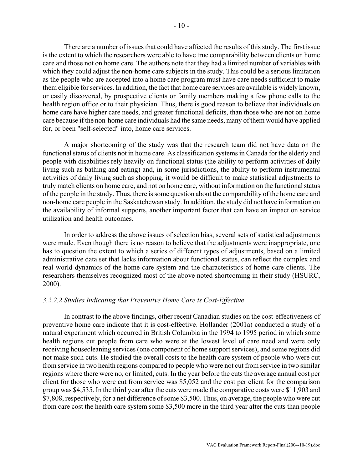There are a number of issues that could have affected the results of this study. The first issue is the extent to which the researchers were able to have true comparability between clients on home care and those not on home care. The authors note that they had a limited number of variables with which they could adjust the non-home care subjects in the study. This could be a serious limitation as the people who are accepted into a home care program must have care needs sufficient to make them eligible for services. In addition, the fact that home care services are available is widely known, or easily discovered, by prospective clients or family members making a few phone calls to the health region office or to their physician. Thus, there is good reason to believe that individuals on home care have higher care needs, and greater functional deficits, than those who are not on home care because if the non-home care individuals had the same needs, many of them would have applied for, or been "self-selected" into, home care services.

A major shortcoming of the study was that the research team did not have data on the functional status of clients not in home care. As classification systems in Canada for the elderly and people with disabilities rely heavily on functional status (the ability to perform activities of daily living such as bathing and eating) and, in some jurisdictions, the ability to perform instrumental activities of daily living such as shopping, it would be difficult to make statistical adjustments to truly match clients on home care, and not on home care, without information on the functional status of the people in the study. Thus, there is some question about the comparability of the home care and non-home care people in the Saskatchewan study. In addition, the study did not have information on the availability of informal supports, another important factor that can have an impact on service utilization and health outcomes.

In order to address the above issues of selection bias, several sets of statistical adjustments were made. Even though there is no reason to believe that the adjustments were inappropriate, one has to question the extent to which a series of different types of adjustments, based on a limited administrative data set that lacks information about functional status, can reflect the complex and real world dynamics of the home care system and the characteristics of home care clients. The researchers themselves recognized most of the above noted shortcoming in their study (HSURC, 2000).

#### *3.2.2.2 Studies Indicating that Preventive Home Care is Cost-Effective*

In contrast to the above findings, other recent Canadian studies on the cost-effectiveness of preventive home care indicate that it is cost-effective. Hollander (2001a) conducted a study of a natural experiment which occurred in British Columbia in the 1994 to 1995 period in which some health regions cut people from care who were at the lowest level of care need and were only receiving housecleaning services (one component of home support services), and some regions did not make such cuts. He studied the overall costs to the health care system of people who were cut from service in two health regions compared to people who were not cut from service in two similar regions where there were no, or limited, cuts. In the year before the cuts the average annual cost per client for those who were cut from service was \$5,052 and the cost per client for the comparison group was \$4,535. In the third year after the cuts were made the comparative costs were \$11,903 and \$7,808, respectively, for a net difference of some \$3,500. Thus, on average, the people who were cut from care cost the health care system some \$3,500 more in the third year after the cuts than people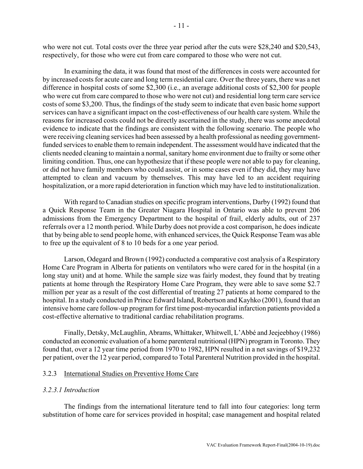<span id="page-13-0"></span>who were not cut. Total costs over the three year period after the cuts were \$28,240 and \$20,543, respectively, for those who were cut from care compared to those who were not cut.

In examining the data, it was found that most of the differences in costs were accounted for by increased costs for acute care and long term residential care. Over the three years, there was a net difference in hospital costs of some \$2,300 (i.e., an average additional costs of \$2,300 for people who were cut from care compared to those who were not cut) and residential long term care service costs of some \$3,200. Thus, the findings of the study seem to indicate that even basic home support services can have a significant impact on the cost-effectiveness of our health care system. While the reasons for increased costs could not be directly ascertained in the study, there was some anecdotal evidence to indicate that the findings are consistent with the following scenario. The people who were receiving cleaning services had been assessed by a health professional as needing governmentfunded services to enable them to remain independent. The assessment would have indicated that the clients needed cleaning to maintain a normal, sanitary home environment due to frailty or some other limiting condition. Thus, one can hypothesize that if these people were not able to pay for cleaning, or did not have family members who could assist, or in some cases even if they did, they may have attempted to clean and vacuum by themselves. This may have led to an accident requiring hospitalization, or a more rapid deterioration in function which may have led to institutionalization.

With regard to Canadian studies on specific program interventions, Darby (1992) found that a Quick Response Team in the Greater Niagara Hospital in Ontario was able to prevent 206 admissions from the Emergency Department to the hospital of frail, elderly adults, out of 237 referrals over a 12 month period. While Darby does not provide a cost comparison, he does indicate that by being able to send people home, with enhanced services, the Quick Response Team was able to free up the equivalent of 8 to 10 beds for a one year period.

Larson, Odegard and Brown (1992) conducted a comparative cost analysis of a Respiratory Home Care Program in Alberta for patients on ventilators who were cared for in the hospital (in a long stay unit) and at home. While the sample size was fairly modest, they found that by treating patients at home through the Respiratory Home Care Program, they were able to save some \$2.7 million per year as a result of the cost differential of treating 27 patients at home compared to the hospital. In a study conducted in Prince Edward Island, Robertson and Kayhko (2001), found that an intensive home care follow-up program for first time post-myocardial infarction patients provided a cost-effective alternative to traditional cardiac rehabilitation programs.

Finally, Detsky, McLaughlin, Abrams, Whittaker, Whitwell, L'Abbé and Jeejeebhoy (1986) conducted an economic evaluation of a home parenteral nutritional (HPN) program in Toronto. They found that, over a 12 year time period from 1970 to 1982, HPN resulted in a net savings of \$19,232 per patient, over the 12 year period, compared to Total Parenteral Nutrition provided in the hospital.

#### 3.2.3 International Studies on Preventive Home Care

#### *3.2.3.1 Introduction*

The findings from the international literature tend to fall into four categories: long term substitution of home care for services provided in hospital; case management and hospital related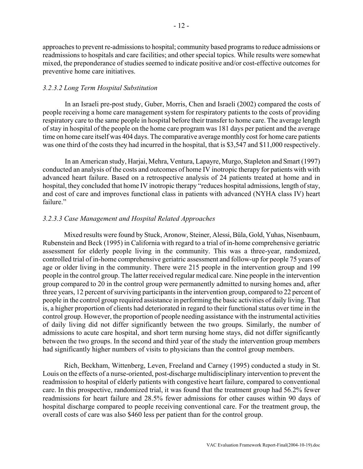approaches to prevent re-admissions to hospital; community based programs to reduce admissions or readmissions to hospitals and care facilities; and other special topics. While results were somewhat mixed, the preponderance of studies seemed to indicate positive and/or cost-effective outcomes for preventive home care initiatives.

#### *3.2.3.2 Long Term Hospital Substitution*

In an Israeli pre-post study, Guber, Morris, Chen and Israeli (2002) compared the costs of people receiving a home care management system for respiratory patients to the costs of providing respiratory care to the same people in hospital before their transfer to home care. The average length of stay in hospital of the people on the home care program was 181 days per patient and the average time on home care itself was 404 days. The comparative average monthly cost for home care patients was one third of the costs they had incurred in the hospital, that is \$3,547 and \$11,000 respectively.

In an American study, Harjai, Mehra, Ventura, Lapayre, Murgo, Stapleton and Smart (1997) conducted an analysis of the costs and outcomes of home IV inotropic therapy for patients with with advanced heart failure. Based on a retrospective analysis of 24 patients treated at home and in hospital, they concluded that home IV inotropic therapy "reduces hospital admissions, length of stay, and cost of care and improves functional class in patients with advanced (NYHA class IV) heart failure."

#### *3.2.3.3 Case Management and Hospital Related Approaches*

Mixed results were found by Stuck, Aronow, Steiner, Alessi, Büla, Gold, Yuhas, Nisenbaum, Rubenstein and Beck (1995) in California with regard to a trial of in-home comprehensive geriatric assessment for elderly people living in the community. This was a three-year, randomized, controlled trial of in-home comprehensive geriatric assessment and follow-up for people 75 years of age or older living in the community. There were 215 people in the intervention group and 199 people in the control group. The latter received regular medical care. Nine people in the intervention group compared to 20 in the control group were permanently admitted to nursing homes and, after three years, 12 percent of surviving participants in the intervention group, compared to 22 percent of people in the control group required assistance in performing the basic activities of daily living. That is, a higher proportion of clients had deteriorated in regard to their functional status over time in the control group. However, the proportion of people needing assistance with the instrumental activities of daily living did not differ significantly between the two groups. Similarly, the number of admissions to acute care hospital, and short term nursing home stays, did not differ significantly between the two groups. In the second and third year of the study the intervention group members had significantly higher numbers of visits to physicians than the control group members.

Rich, Beckham, Wittenberg, Leven, Freeland and Carney (1995) conducted a study in St. Louis on the effects of a nurse-oriented, post-discharge multidisciplinary intervention to prevent the readmission to hospital of elderly patients with congestive heart failure, compared to conventional care. In this prospective, randomized trial, it was found that the treatment group had 56.2% fewer readmissions for heart failure and 28.5% fewer admissions for other causes within 90 days of hospital discharge compared to people receiving conventional care. For the treatment group, the overall costs of care was also \$460 less per patient than for the control group.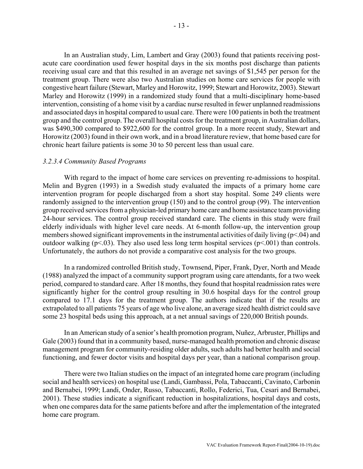In an Australian study, Lim, Lambert and Gray (2003) found that patients receiving postacute care coordination used fewer hospital days in the six months post discharge than patients receiving usual care and that this resulted in an average net savings of \$1,545 per person for the treatment group. There were also two Australian studies on home care services for people with congestive heart failure (Stewart, Marley and Horowitz, 1999; Stewart and Horowitz, 2003). Stewart Marley and Horowitz (1999) in a randomized study found that a multi-disciplinary home-based intervention, consisting of a home visit by a cardiac nurse resulted in fewer unplanned readmissions and associated days in hospital compared to usual care. There were 100 patients in both the treatment group and the control group. The overall hospital costs for the treatment group, in Australian dollars, was \$490,300 compared to \$922,600 for the control group. In a more recent study, Stewart and Horowitz (2003) found in their own work, and in a broad literature review, that home based care for chronic heart failure patients is some 30 to 50 percent less than usual care.

#### *3.2.3.4 Community Based Programs*

With regard to the impact of home care services on preventing re-admissions to hospital. Melin and Bygren (1993) in a Swedish study evaluated the impacts of a primary home care intervention program for people discharged from a short stay hospital. Some 249 clients were randomly assigned to the intervention group (150) and to the control group (99). The intervention group received services from a physician-led primary home care and home assistance team providing 24-hour services. The control group received standard care. The clients in this study were frail elderly individuals with higher level care needs. At 6-month follow-up, the intervention group members showed significant improvements in the instrumental activities of daily living (p<.04) and outdoor walking ( $p<03$ ). They also used less long term hospital services ( $p<001$ ) than controls. Unfortunately, the authors do not provide a comparative cost analysis for the two groups.

In a randomized controlled British study, Townsend, Piper, Frank, Dyer, North and Meade (1988) analyzed the impact of a community support program using care attendants, for a two week period, compared to standard care. After 18 months, they found that hospital readmission rates were significantly higher for the control group resulting in 30.6 hospital days for the control group compared to 17.1 days for the treatment group. The authors indicate that if the results are extrapolated to all patients 75 years of age who live alone, an average sized health district could save some 23 hospital beds using this approach, at a net annual savings of 220,000 British pounds.

In an American study of a senior's health promotion program, Nuñez, Arbruster, Phillips and Gale (2003) found that in a community based, nurse-managed health promotion and chronic disease management program for community-residing older adults, such adults had better health and social functioning, and fewer doctor visits and hospital days per year, than a national comparison group.

There were two Italian studies on the impact of an integrated home care program (including social and health services) on hospital use (Landi, Gambassi, Pola, Tabaccanti, Cavinato, Carbonin and Bernabei, 1999; Landi, Onder, Russo, Tabaccanti, Rollo, Federici, Tua, Cesari and Bernabei, 2001). These studies indicate a significant reduction in hospitalizations, hospital days and costs, when one compares data for the same patients before and after the implementation of the integrated home care program.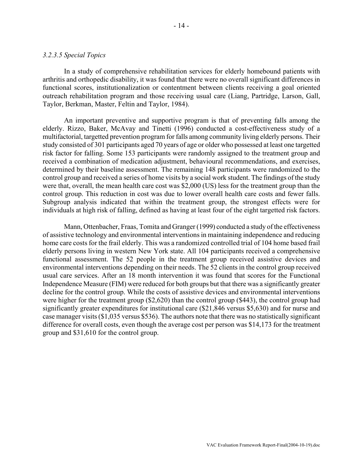#### *3.2.3.5 Special Topics*

In a study of comprehensive rehabilitation services for elderly homebound patients with arthritis and orthopedic disability, it was found that there were no overall significant differences in functional scores, institutionalization or contentment between clients receiving a goal oriented outreach rehabilitation program and those receiving usual care (Liang, Partridge, Larson, Gall, Taylor, Berkman, Master, Feltin and Taylor, 1984).

An important preventive and supportive program is that of preventing falls among the elderly. Rizzo, Baker, McAvay and Tinetti (1996) conducted a cost-effectiveness study of a multifactorial, targetted prevention program for falls among community living elderly persons. Their study consisted of 301 participants aged 70 years of age or older who possessed at least one targetted risk factor for falling. Some 153 participants were randomly assigned to the treatment group and received a combination of medication adjustment, behavioural recommendations, and exercises, determined by their baseline assessment. The remaining 148 participants were randomized to the control group and received a series of home visits by a social work student. The findings of the study were that, overall, the mean health care cost was \$2,000 (US) less for the treatment group than the control group. This reduction in cost was due to lower overall health care costs and fewer falls. Subgroup analysis indicated that within the treatment group, the strongest effects were for individuals at high risk of falling, defined as having at least four of the eight targetted risk factors.

Mann, Ottenbacher, Fraas, Tomita and Granger (1999) conducted a study of the effectiveness of assistive technology and environmental interventions in maintaining independence and reducing home care costs for the frail elderly. This was a randomized controlled trial of 104 home based frail elderly persons living in western New York state. All 104 participants received a comprehensive functional assessment. The 52 people in the treatment group received assistive devices and environmental interventions depending on their needs. The 52 clients in the control group received usual care services. After an 18 month intervention it was found that scores for the Functional Independence Measure (FIM) were reduced for both groups but that there was a significantly greater decline for the control group. While the costs of assistive devices and environmental interventions were higher for the treatment group (\$2,620) than the control group (\$443), the control group had significantly greater expenditures for institutional care (\$21,846 versus \$5,630) and for nurse and case manager visits (\$1,035 versus \$536). The authors note that there was no statistically significant difference for overall costs, even though the average cost per person was \$14,173 for the treatment group and \$31,610 for the control group.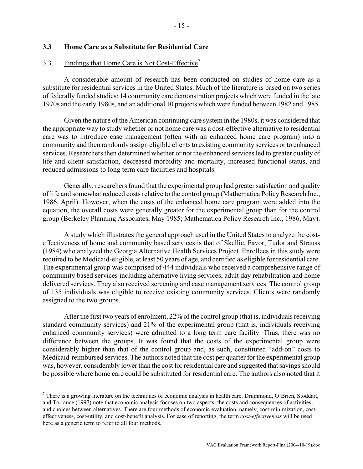### <span id="page-17-0"></span>**3.3 Home Care as a Substitute for Residential Care**

# 3.3.1 Findings that Home Care is Not Cost-Effective<sup>7</sup>

A considerable amount of research has been conducted on studies of home care as a substitute for residential services in the United States. Much of the literature is based on two series of federally funded studies: 14 community care demonstration projects which were funded in the late 1970s and the early 1980s, and an additional 10 projects which were funded between 1982 and 1985.

Given the nature of the American continuing care system in the 1980s, it was considered that the appropriate way to study whether or not home care was a cost-effective alternative to residential care was to introduce case management (often with an enhanced home care program) into a community and then randomly assign eligible clients to existing community services or to enhanced services. Researchers then determined whether or not the enhanced services led to greater quality of life and client satisfaction, decreased morbidity and mortality, increased functional status, and reduced admissions to long term care facilities and hospitals.

Generally, researchers found that the experimental group had greater satisfaction and quality of life and somewhat reduced costs relative to the control group (Mathematica Policy Research Inc., 1986, April). However, when the costs of the enhanced home care program were added into the equation, the overall costs were generally greater for the experimental group than for the control group (Berkeley Planning Associates, May 1985; Mathematica Policy Research Inc., 1986, May).

A study which illustrates the general approach used in the United States to analyze the costeffectiveness of home and community based services is that of Skellie, Favor, Tudor and Strauss (1984) who analyzed the Georgia Alternative Health Services Project. Enrollees in this study were required to be Medicaid-eligible, at least 50 years of age, and certified as eligible for residential care. The experimental group was comprised of 444 individuals who received a comprehensive range of community based services including alternative living services, adult day rehabilitation and home delivered services. They also received screening and case management services. The control group of 135 individuals was eligible to receive existing community services. Clients were randomly assigned to the two groups.

After the first two years of enrolment, 22% of the control group (that is, individuals receiving standard community services) and 21% of the experimental group (that is, individuals receiving enhanced community services) were admitted to a long term care facility. Thus, there was no difference between the groups. It was found that the costs of the experimental group were considerably higher than that of the control group and, as such, constituted "add-on" costs to Medicaid-reimbursed services. The authors noted that the cost per quarter for the experimental group was, however, considerably lower than the cost for residential care and suggested that savings should be possible where home care could be substituted for residential care. The authors also noted that it

 $\overline{a}$ 

<span id="page-17-1"></span> $^7$  There is a growing literature on the techniques of economic analysis in health care. Drummond, O'Brien, Stoddart, and Torrance (1997) note that economic analysis focuses on two aspects: the costs and consequences of activities; and choices between alternatives. There are four methods of economic evaluation, namely, cost-minimization, costeffectiveness, cost-utility, and cost-benefit analysis. For ease of reporting, the term *cost-effectiveness* will be used here as a generic term to refer to all four methods.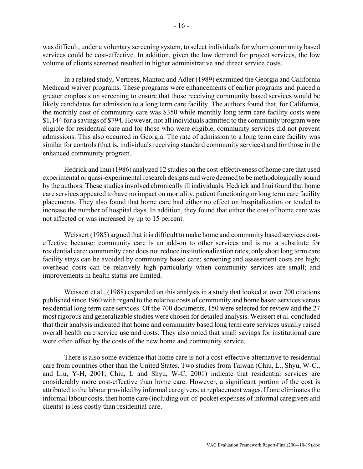was difficult, under a voluntary screening system, to select individuals for whom community based services could be cost-effective. In addition, given the low demand for project services, the low volume of clients screened resulted in higher administrative and direct service costs.

In a related study, Vertrees, Manton and Adler (1989) examined the Georgia and California Medicaid waiver programs. These programs were enhancements of earlier programs and placed a greater emphasis on screening to ensure that those receiving community based services would be likely candidates for admission to a long term care facility. The authors found that, for California, the monthly cost of community care was \$350 while monthly long term care facility costs were \$1,144 for a savings of \$794. However, not all individuals admitted to the community program were eligible for residential care and for those who were eligible, community services did not prevent admissions. This also occurred in Georgia. The rate of admission to a long term care facility was similar for controls (that is, individuals receiving standard community services) and for those in the enhanced community program.

Hedrick and Inui (1986) analyzed 12 studies on the cost-effectiveness of home care that used experimental or quasi-experimental research designs and were deemed to be methodologically sound by the authors. These studies involved chronically ill individuals. Hedrick and Inui found that home care services appeared to have no impact on mortality, patient functioning or long term care facility placements. They also found that home care had either no effect on hospitalization or tended to increase the number of hospital days. In addition, they found that either the cost of home care was not affected or was increased by up to 15 percent.

Weissert (1985) argued that it is difficult to make home and community based services costeffective because: community care is an add-on to other services and is not a substitute for residential care; community care does not reduce institutionalization rates; only short long term care facility stays can be avoided by community based care; screening and assessment costs are high; overhead costs can be relatively high particularly when community services are small; and improvements in health status are limited.

Weissert et al., (1988) expanded on this analysis in a study that looked at over 700 citations published since 1960 with regard to the relative costs of community and home based services versus residential long term care services. Of the 700 documents, 150 were selected for review and the 27 most rigorous and generalizable studies were chosen for detailed analysis. Weissert et al. concluded that their analysis indicated that home and community based long term care services usually raised overall health care service use and costs. They also noted that small savings for institutional care were often offset by the costs of the new home and community service.

There is also some evidence that home care is not a cost-effective alternative to residential care from countries other than the United States. Two studies from Taiwan (Chiu, L., Shyu, W-C., and Liu, Y-H, 2001; Chiu, L and Shyu, W-C, 2001) indicate that residential services are considerably more cost-effective than home care. However, a significant portion of the cost is attributed to the labour provided by informal caregivers, at replacement wages. If one eliminates the informal labour costs, then home care (including out-of-pocket expenses of informal caregivers and clients) is less costly than residential care.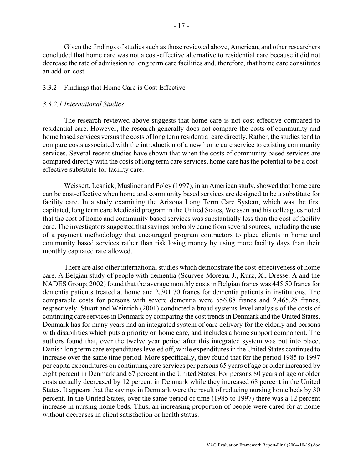<span id="page-19-0"></span>Given the findings of studies such as those reviewed above, American, and other researchers concluded that home care was not a cost-effective alternative to residential care because it did not decrease the rate of admission to long term care facilities and, therefore, that home care constitutes an add-on cost.

#### 3.3.2 Findings that Home Care is Cost-Effective

### *3.3.2.1 International Studies*

The research reviewed above suggests that home care is not cost-effective compared to residential care. However, the research generally does not compare the costs of community and home based services versus the costs of long term residential care directly. Rather, the studies tend to compare costs associated with the introduction of a new home care service to existing community services. Several recent studies have shown that when the costs of community based services are compared directly with the costs of long term care services, home care has the potential to be a costeffective substitute for facility care.

Weissert, Lesnick, Musliner and Foley (1997), in an American study, showed that home care can be cost-effective when home and community based services are designed to be a substitute for facility care. In a study examining the Arizona Long Term Care System, which was the first capitated, long term care Medicaid program in the United States, Weissert and his colleagues noted that the cost of home and community based services was substantially less than the cost of facility care. The investigators suggested that savings probably came from several sources, including the use of a payment methodology that encouraged program contractors to place clients in home and community based services rather than risk losing money by using more facility days than their monthly capitated rate allowed.

There are also other international studies which demonstrate the cost-effectiveness of home care. A Belgian study of people with dementia (Scurvee-Moreau, J., Kurz, X., Dresse, A and the NADES Group; 2002) found that the average monthly costs in Belgian francs was 445.50 francs for dementia patients treated at home and 2,301.70 francs for dementia patients in institutions. The comparable costs for persons with severe dementia were 556.88 francs and 2,465.28 francs, respectively. Stuart and Weinrich (2001) conducted a broad systems level analysis of the costs of continuing care services in Denmark by comparing the cost trends in Denmark and the United States. Denmark has for many years had an integrated system of care delivery for the elderly and persons with disabilities which puts a priority on home care, and includes a home support component. The authors found that, over the twelve year period after this integrated system was put into place, Danish long term care expenditures leveled off, while expenditures in the United States continued to increase over the same time period. More specifically, they found that for the period 1985 to 1997 per capita expenditures on continuing care services per persons 65 years of age or older increased by eight percent in Denmark and 67 percent in the United States. For persons 80 years of age or older costs actually decreased by 12 percent in Denmark while they increased 68 percent in the United States. It appears that the savings in Denmark were the result of reducing nursing home beds by 30 percent. In the United States, over the same period of time (1985 to 1997) there was a 12 percent increase in nursing home beds. Thus, an increasing proportion of people were cared for at home without decreases in client satisfaction or health status.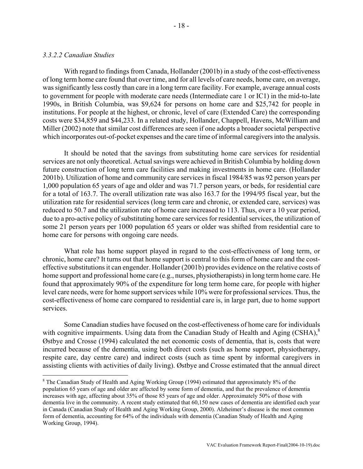#### *3.3.2.2 Canadian Studies*

<u>.</u>

With regard to findings from Canada, Hollander (2001b) in a study of the cost-effectiveness of long term home care found that over time, and for all levels of care needs, home care, on average, was significantly less costly than care in a long term care facility. For example, average annual costs to government for people with moderate care needs (Intermediate care 1 or IC1) in the mid-to-late 1990s, in British Columbia, was \$9,624 for persons on home care and \$25,742 for people in institutions. For people at the highest, or chronic, level of care (Extended Care) the corresponding costs were \$34,859 and \$44,233. In a related study, Hollander, Chappell, Havens, McWilliam and Miller (2002) note that similar cost differences are seen if one adopts a broader societal perspective which incorporates out-of-pocket expenses and the care time of informal caregivers into the analysis.

It should be noted that the savings from substituting home care services for residential services are not only theoretical. Actual savings were achieved in British Columbia by holding down future construction of long term care facilities and making investments in home care. (Hollander 2001b). Utilization of home and community care services in fiscal 1984/85 was 92 person years per 1,000 population 65 years of age and older and was 71.7 person years, or beds, for residential care for a total of 163.7. The overall utilization rate was also 163.7 for the 1994/95 fiscal year, but the utilization rate for residential services (long term care and chronic, or extended care, services) was reduced to 50.7 and the utilization rate of home care increased to 113. Thus, over a 10 year period, due to a pro-active policy of substituting home care services for residential services, the utilization of some 21 person years per 1000 population 65 years or older was shifted from residential care to home care for persons with ongoing care needs.

What role has home support played in regard to the cost-effectiveness of long term, or chronic, home care? It turns out that home support is central to this form of home care and the costeffective substitutions it can engender. Hollander (2001b) provides evidence on the relative costs of home support and professional home care (e.g., nurses, physiotherapists) in long term home care. He found that approximately 90% of the expenditure for long term home care, for people with higher level care needs, were for home support services while 10% were for professional services. Thus, the cost-effectiveness of home care compared to residential care is, in large part, due to home support services.

Some Canadian studies have focused on the cost-effectiveness of home care for individuals with cognitive impairments. Using data from the Canadian Study of Health and Aging (CSHA), $^8$  $^8$ Østbye and Crosse (1994) calculated the net economic costs of dementia, that is, costs that were incurred because of the dementia, using both direct costs (such as home support, physiotherapy, respite care, day centre care) and indirect costs (such as time spent by informal caregivers in assisting clients with activities of daily living). Østbye and Crosse estimated that the annual direct

<span id="page-20-0"></span><sup>&</sup>lt;sup>8</sup> The Canadian Study of Health and Aging Working Group (1994) estimated that approximately 8% of the population 65 years of age and older are affected by some form of dementia, and that the prevalence of dementia increases with age, affecting about 35% of those 85 years of age and older. Approximately 50% of those with dementia live in the community. A recent study estimated that 60,150 new cases of dementia are identified each year in Canada (Canadian Study of Health and Aging Working Group, 2000). Alzheimer's disease is the most common form of dementia, accounting for 64% of the individuals with dementia (Canadian Study of Health and Aging Working Group, 1994).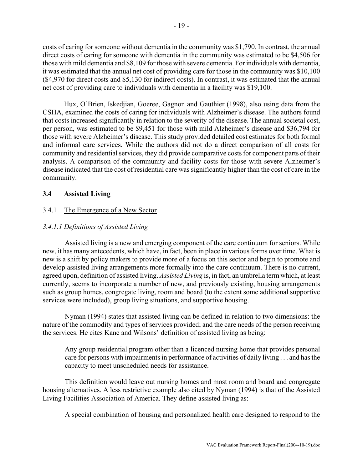<span id="page-21-0"></span>costs of caring for someone without dementia in the community was \$1,790. In contrast, the annual direct costs of caring for someone with dementia in the community was estimated to be \$4,506 for those with mild dementia and \$8,109 for those with severe dementia. For individuals with dementia, it was estimated that the annual net cost of providing care for those in the community was \$10,100 (\$4,970 for direct costs and \$5,130 for indirect costs). In contrast, it was estimated that the annual net cost of providing care to individuals with dementia in a facility was \$19,100.

Hux, O'Brien, Iskedjian, Goeree, Gagnon and Gauthier (1998), also using data from the CSHA, examined the costs of caring for individuals with Alzheimer's disease. The authors found that costs increased significantly in relation to the severity of the disease. The annual societal cost, per person, was estimated to be \$9,451 for those with mild Alzheimer's disease and \$36,794 for those with severe Alzheimer's disease. This study provided detailed cost estimates for both formal and informal care services. While the authors did not do a direct comparison of all costs for community and residential services, they did provide comparative costs for component parts of their analysis. A comparison of the community and facility costs for those with severe Alzheimer's disease indicated that the cost of residential care was significantly higher than the cost of care in the community.

# **3.4 Assisted Living**

# 3.4.1 The Emergence of a New Sector

# *3.4.1.1 Definitions of Assisted Living*

Assisted living is a new and emerging component of the care continuum for seniors. While new, it has many antecedents, which have, in fact, been in place in various forms over time. What is new is a shift by policy makers to provide more of a focus on this sector and begin to promote and develop assisted living arrangements more formally into the care continuum. There is no current, agreed upon, definition of assisted living. *Assisted Living* is, in fact, an umbrella term which, at least currently, seems to incorporate a number of new, and previously existing, housing arrangements such as group homes, congregate living, room and board (to the extent some additional supportive services were included), group living situations, and supportive housing.

Nyman (1994) states that assisted living can be defined in relation to two dimensions: the nature of the commodity and types of services provided; and the care needs of the person receiving the services. He cites Kane and Wilsons' definition of assisted living as being:

Any group residential program other than a licenced nursing home that provides personal care for persons with impairments in performance of activities of daily living . . . and has the capacity to meet unscheduled needs for assistance.

This definition would leave out nursing homes and most room and board and congregate housing alternatives. A less restrictive example also cited by Nyman (1994) is that of the Assisted Living Facilities Association of America. They define assisted living as:

A special combination of housing and personalized health care designed to respond to the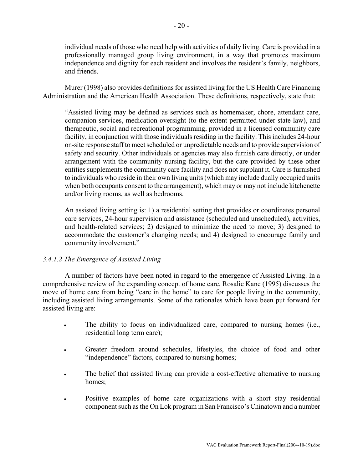individual needs of those who need help with activities of daily living. Care is provided in a professionally managed group living environment, in a way that promotes maximum independence and dignity for each resident and involves the resident's family, neighbors, and friends.

Murer (1998) also provides definitions for assisted living for the US Health Care Financing Administration and the American Health Association. These definitions, respectively, state that:

"Assisted living may be defined as services such as homemaker, chore, attendant care, companion services, medication oversight (to the extent permitted under state law), and therapeutic, social and recreational programming, provided in a licensed community care facility, in conjunction with those individuals residing in the facility. This includes 24-hour on-site response staff to meet scheduled or unpredictable needs and to provide supervision of safety and security. Other individuals or agencies may also furnish care directly, or under arrangement with the community nursing facility, but the care provided by these other entities supplements the community care facility and does not supplant it. Care is furnished to individuals who reside in their own living units (which may include dually occupied units when both occupants consent to the arrangement), which may or may not include kitchenette and/or living rooms, as well as bedrooms.

An assisted living setting is: 1) a residential setting that provides or coordinates personal care services, 24-hour supervision and assistance (scheduled and unscheduled), activities, and health-related services; 2) designed to minimize the need to move; 3) designed to accommodate the customer's changing needs; and 4) designed to encourage family and community involvement."

# *3.4.1.2 The Emergence of Assisted Living*

A number of factors have been noted in regard to the emergence of Assisted Living. In a comprehensive review of the expanding concept of home care, Rosalie Kane (1995) discusses the move of home care from being "care in the home" to care for people living in the community, including assisted living arrangements. Some of the rationales which have been put forward for assisted living are:

- The ability to focus on individualized care, compared to nursing homes (i.e., residential long term care);
- Greater freedom around schedules, lifestyles, the choice of food and other "independence" factors, compared to nursing homes;
- The belief that assisted living can provide a cost-effective alternative to nursing homes:
- Positive examples of home care organizations with a short stay residential component such as the On Lok program in San Francisco's Chinatown and a number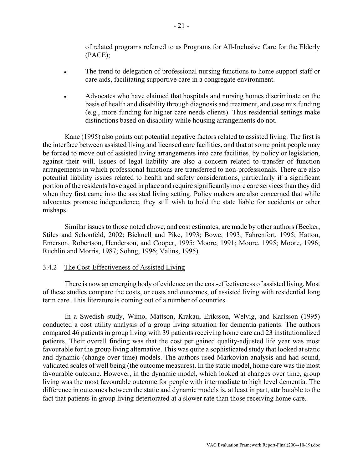of related programs referred to as Programs for All-Inclusive Care for the Elderly (PACE);

- <span id="page-23-0"></span>• The trend to delegation of professional nursing functions to home support staff or care aids, facilitating supportive care in a congregate environment.
- Advocates who have claimed that hospitals and nursing homes discriminate on the basis of health and disability through diagnosis and treatment, and case mix funding (e.g., more funding for higher care needs clients). Thus residential settings make distinctions based on disability while housing arrangements do not.

Kane (1995) also points out potential negative factors related to assisted living. The first is the interface between assisted living and licensed care facilities, and that at some point people may be forced to move out of assisted living arrangements into care facilities, by policy or legislation, against their will. Issues of legal liability are also a concern related to transfer of function arrangements in which professional functions are transferred to non-professionals. There are also potential liability issues related to health and safety considerations, particularly if a significant portion of the residents have aged in place and require significantly more care services than they did when they first came into the assisted living setting. Policy makers are also concerned that while advocates promote independence, they still wish to hold the state liable for accidents or other mishaps.

Similar issues to those noted above, and cost estimates, are made by other authors (Becker, Stiles and Schonfeld, 2002; Bicknell and Pike, 1993; Bowe, 1993; Fahrenfort, 1995; Hatton, Emerson, Robertson, Henderson, and Cooper, 1995; Moore, 1991; Moore, 1995; Moore, 1996; Ruchlin and Morris, 1987; Sohng, 1996; Valins, 1995).

#### 3.4.2 The Cost-Effectiveness of Assisted Living

There is now an emerging body of evidence on the cost-effectiveness of assisted living. Most of these studies compare the costs, or costs and outcomes, of assisted living with residential long term care. This literature is coming out of a number of countries.

In a Swedish study, Wimo, Mattson, Krakau, Eriksson, Welvig, and Karlsson (1995) conducted a cost utility analysis of a group living situation for dementia patients. The authors compared 46 patients in group living with 39 patients receiving home care and 23 institutionalized patients. Their overall finding was that the cost per gained quality-adjusted life year was most favourable for the group living alternative. This was quite a sophisticated study that looked at static and dynamic (change over time) models. The authors used Markovian analysis and had sound, validated scales of well being (the outcome measures). In the static model, home care was the most favourable outcome. However, in the dynamic model, which looked at changes over time, group living was the most favourable outcome for people with intermediate to high level dementia. The difference in outcomes between the static and dynamic models is, at least in part, attributable to the fact that patients in group living deteriorated at a slower rate than those receiving home care.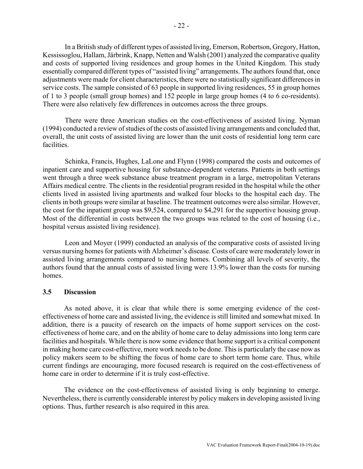<span id="page-24-0"></span>In a British study of different types of assisted living, Emerson, Robertson, Gregory, Hatton, Kessissoglou, Hallam, Järbrink, Knapp, Netten and Walsh (2001) analyzed the comparative quality and costs of supported living residences and group homes in the United Kingdom. This study essentially compared different types of "assisted living" arrangements. The authors found that, once adjustments were made for client characteristics, there were no statistically significant differences in service costs. The sample consisted of 63 people in supported living residences, 55 in group homes of 1 to 3 people (small group homes) and 152 people in large group homes (4 to 6 co-residents). There were also relatively few differences in outcomes across the three groups.

There were three American studies on the cost-effectiveness of assisted living. Nyman (1994) conducted a review of studies of the costs of assisted living arrangements and concluded that, overall, the unit costs of assisted living are lower than the unit costs of residential long term care facilities.

Schinka, Francis, Hughes, LaLone and Flynn (1998) compared the costs and outcomes of inpatient care and supportive housing for substance-dependent veterans. Patients in both settings went through a three week substance abuse treatment program in a large, metropolitan Veterans Affairs medical centre. The clients in the residential program resided in the hospital while the other clients lived in assisted living apartments and walked four blocks to the hospital each day. The clients in both groups were similar at baseline. The treatment outcomes were also similar. However, the cost for the inpatient group was \$9,524, compared to \$4,291 for the supportive housing group. Most of the differential in costs between the two groups was related to the cost of housing (i.e., hospital versus assisted living residence).

Leon and Moyer (1999) conducted an analysis of the comparative costs of assisted living versus nursing homes for patients with Alzheimer's disease. Costs of care were moderately lower in assisted living arrangements compared to nursing homes. Combining all levels of severity, the authors found that the annual costs of assisted living were 13.9% lower than the costs for nursing homes.

#### **3.5 Discussion**

As noted above, it is clear that while there is some emerging evidence of the costeffectiveness of home care and assisted living, the evidence is still limited and somewhat mixed. In addition, there is a paucity of research on the impacts of home support services on the costeffectiveness of home care, and on the ability of home care to delay admissions into long term care facilities and hospitals. While there is now some evidence that home support is a critical component in making home care cost-effective, more work needs to be done. This is particularly the case now as policy makers seem to be shifting the focus of home care to short term home care. Thus, while current findings are encouraging, more focused research is required on the cost-effectiveness of home care in order to determine if it is truly cost-effective.

The evidence on the cost-effectiveness of assisted living is only beginning to emerge. Nevertheless, there is currently considerable interest by policy makers in developing assisted living options. Thus, further research is also required in this area.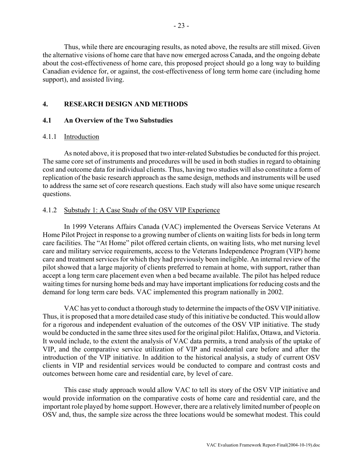<span id="page-25-0"></span>Thus, while there are encouraging results, as noted above, the results are still mixed. Given the alternative visions of home care that have now emerged across Canada, and the ongoing debate about the cost-effectiveness of home care, this proposed project should go a long way to building Canadian evidence for, or against, the cost-effectiveness of long term home care (including home support), and assisted living.

# **4. RESEARCH DESIGN AND METHODS**

# **4.1 An Overview of the Two Substudies**

# 4.1.1 Introduction

As noted above, it is proposed that two inter-related Substudies be conducted for this project. The same core set of instruments and procedures will be used in both studies in regard to obtaining cost and outcome data for individual clients. Thus, having two studies will also constitute a form of replication of the basic research approach as the same design, methods and instruments will be used to address the same set of core research questions. Each study will also have some unique research questions.

# 4.1.2 Substudy 1: A Case Study of the OSV VIP Experience

In 1999 Veterans Affairs Canada (VAC) implemented the Overseas Service Veterans At Home Pilot Project in response to a growing number of clients on waiting lists for beds in long term care facilities. The "At Home" pilot offered certain clients, on waiting lists, who met nursing level care and military service requirements, access to the Veterans Independence Program (VIP) home care and treatment services for which they had previously been ineligible. An internal review of the pilot showed that a large majority of clients preferred to remain at home, with support, rather than accept a long term care placement even when a bed became available. The pilot has helped reduce waiting times for nursing home beds and may have important implications for reducing costs and the demand for long term care beds. VAC implemented this program nationally in 2002.

VAC has yet to conduct a thorough study to determine the impacts of the OSV VIP initiative. Thus, it is proposed that a more detailed case study of this initiative be conducted. This would allow for a rigorous and independent evaluation of the outcomes of the OSV VIP initiative. The study would be conducted in the same three sites used for the original pilot: Halifax, Ottawa, and Victoria. It would include, to the extent the analysis of VAC data permits, a trend analysis of the uptake of VIP, and the comparative service utilization of VIP and residential care before and after the introduction of the VIP initiative. In addition to the historical analysis, a study of current OSV clients in VIP and residential services would be conducted to compare and contrast costs and outcomes between home care and residential care, by level of care.

This case study approach would allow VAC to tell its story of the OSV VIP initiative and would provide information on the comparative costs of home care and residential care, and the important role played by home support. However, there are a relatively limited number of people on OSV and, thus, the sample size across the three locations would be somewhat modest. This could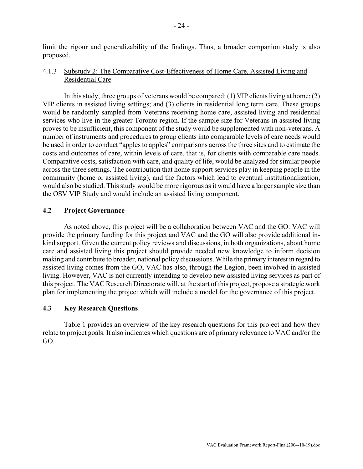<span id="page-26-0"></span>limit the rigour and generalizability of the findings. Thus, a broader companion study is also proposed.

### 4.1.3 Substudy 2: The Comparative Cost-Effectiveness of Home Care, Assisted Living and Residential Care

In this study, three groups of veterans would be compared: (1) VIP clients living at home; (2) VIP clients in assisted living settings; and (3) clients in residential long term care. These groups would be randomly sampled from Veterans receiving home care, assisted living and residential services who live in the greater Toronto region. If the sample size for Veterans in assisted living proves to be insufficient, this component of the study would be supplemented with non-veterans. A number of instruments and procedures to group clients into comparable levels of care needs would be used in order to conduct "apples to apples" comparisons across the three sites and to estimate the costs and outcomes of care, within levels of care, that is, for clients with comparable care needs. Comparative costs, satisfaction with care, and quality of life, would be analyzed for similar people across the three settings. The contribution that home support services play in keeping people in the community (home or assisted living), and the factors which lead to eventual institutionalization, would also be studied. This study would be more rigorous as it would have a larger sample size than the OSV VIP Study and would include an assisted living component.

#### **4.2 Project Governance**

As noted above, this project will be a collaboration between VAC and the GO. VAC will provide the primary funding for this project and VAC and the GO will also provide additional inkind support. Given the current policy reviews and discussions, in both organizations, about home care and assisted living this project should provide needed new knowledge to inform decision making and contribute to broader, national policy discussions. While the primary interest in regard to assisted living comes from the GO, VAC has also, through the Legion, been involved in assisted living. However, VAC is not currently intending to develop new assisted living services as part of this project. The VAC Research Directorate will, at the start of this project, propose a strategic work plan for implementing the project which will include a model for the governance of this project.

#### **4.3 Key Research Questions**

Table 1 provides an overview of the key research questions for this project and how they relate to project goals. It also indicates which questions are of primary relevance to VAC and/or the GO.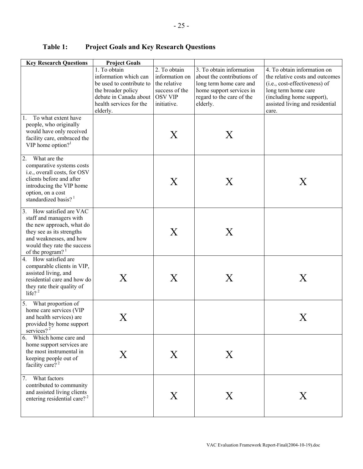| <b>Key Research Questions</b>                                                                                                                                                                         | <b>Project Goals</b>                                                                                                                                             |                                                                                 |                                                                                                                                                                      |                                                                                                                                                                                                 |
|-------------------------------------------------------------------------------------------------------------------------------------------------------------------------------------------------------|------------------------------------------------------------------------------------------------------------------------------------------------------------------|---------------------------------------------------------------------------------|----------------------------------------------------------------------------------------------------------------------------------------------------------------------|-------------------------------------------------------------------------------------------------------------------------------------------------------------------------------------------------|
|                                                                                                                                                                                                       | 1. To obtain<br>information which can<br>be used to contribute to<br>the broader policy<br>debate in Canada about OSV VIP<br>health services for the<br>elderly. | 2. To obtain<br>information on<br>the relative<br>success of the<br>initiative. | $\overline{3}$ . To obtain information<br>about the contributions of<br>long term home care and<br>home support services in<br>regard to the care of the<br>elderly. | 4. To obtain information on<br>the relative costs and outcomes<br>(i.e., cost-effectiveness) of<br>long term home care<br>(including home support),<br>assisted living and residential<br>care. |
| To what extent have<br>1.<br>people, who originally<br>would have only received<br>facility care, embraced the<br>VIP home option? $1$                                                                |                                                                                                                                                                  | X                                                                               | Χ                                                                                                                                                                    |                                                                                                                                                                                                 |
| $\overline{2}$ .<br>What are the<br>comparative systems costs<br>i.e., overall costs, for OSV<br>clients before and after<br>introducing the VIP home<br>option, on a cost<br>standardized basis? $1$ |                                                                                                                                                                  | X                                                                               | X                                                                                                                                                                    | X                                                                                                                                                                                               |
| 3. How satisfied are VAC<br>staff and managers with<br>the new approach, what do<br>they see as its strengths<br>and weaknesses, and how<br>would they rate the success<br>of the program? $1$        |                                                                                                                                                                  | X                                                                               | X                                                                                                                                                                    |                                                                                                                                                                                                 |
| How satisfied are<br>4.<br>comparable clients in VIP,<br>assisted living, and<br>residential care and how do<br>they rate their quality of<br>life? $2^2$                                             | X                                                                                                                                                                | X                                                                               | Χ                                                                                                                                                                    | X                                                                                                                                                                                               |
| 5. What proportion of<br>home care services (VIP<br>and health services) are<br>provided by home support<br>services? $2$                                                                             | Χ                                                                                                                                                                |                                                                                 |                                                                                                                                                                      | Χ                                                                                                                                                                                               |
| 6.<br>Which home care and<br>home support services are<br>the most instrumental in<br>keeping people out of<br>facility care? <sup>2</sup>                                                            | X                                                                                                                                                                | X                                                                               | X                                                                                                                                                                    |                                                                                                                                                                                                 |
| What factors<br>7.<br>contributed to community<br>and assisted living clients<br>entering residential care? <sup>2</sup>                                                                              |                                                                                                                                                                  | X                                                                               | X                                                                                                                                                                    | X                                                                                                                                                                                               |

# <span id="page-27-0"></span>**Table 1: Project Goals and Key Research Questions**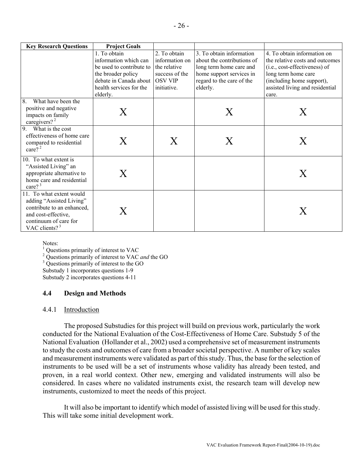<span id="page-28-0"></span>

| <b>Key Research Questions</b>           | <b>Project Goals</b>     |                |                            |                                 |
|-----------------------------------------|--------------------------|----------------|----------------------------|---------------------------------|
|                                         | 1. To obtain             | 2. To obtain   | 3. To obtain information   | 4. To obtain information on     |
|                                         | information which can    | information on | about the contributions of | the relative costs and outcomes |
|                                         | be used to contribute to | the relative   | long term home care and    | (i.e., cost-effectiveness) of   |
|                                         | the broader policy       | success of the | home support services in   | long term home care             |
|                                         | debate in Canada about   | <b>OSV VIP</b> | regard to the care of the  | (including home support),       |
|                                         | health services for the  | initiative.    | elderly.                   | assisted living and residential |
|                                         | elderly.                 |                |                            | care.                           |
| What have been the<br>8.                |                          |                |                            |                                 |
| positive and negative                   | Х                        |                | X                          | X                               |
| impacts on family                       |                          |                |                            |                                 |
| caregivers? $2^2$                       |                          |                |                            |                                 |
| What is the cost<br>9.                  |                          |                |                            |                                 |
| effectiveness of home care              | Х                        | ${\rm X}$      | Х                          | Χ                               |
| compared to residential<br>care? $^{2}$ |                          |                |                            |                                 |
|                                         |                          |                |                            |                                 |
| 10. To what extent is                   |                          |                |                            |                                 |
| "Assisted Living" an                    |                          |                |                            |                                 |
| appropriate alternative to              | X                        |                |                            | X                               |
| home care and residential               |                          |                |                            |                                 |
| care? $3^3$                             |                          |                |                            |                                 |
| 11. To what extent would                |                          |                |                            |                                 |
| adding "Assisted Living"                |                          |                |                            |                                 |
| contribute to an enhanced,              | Х                        |                |                            | Х                               |
| and cost-effective,                     |                          |                |                            |                                 |
| continuum of care for                   |                          |                |                            |                                 |
| VAC clients? $3^3$                      |                          |                |                            |                                 |

Notes:

 $<sup>1</sup>$  Questions primarily of interest to VAC</sup> Questions primarily of interest to VAC<br> $\frac{2}{3}$  Questions primarily of interest to VAC

<sup>2</sup> Questions primarily of interest to VAC *and* the GO  $_3^3$  Questions primarily of interest to the GO

<sup>3</sup> Questions primarily of interest to the GO

Substudy 1 incorporates questions 1-9

Substudy 2 incorporates questions 4-11

# **4.4 Design and Methods**

#### 4.4.1 Introduction

The proposed Substudies for this project will build on previous work, particularly the work conducted for the National Evaluation of the Cost-Effectiveness of Home Care. Substudy 5 of the National Evaluation (Hollander et al., 2002) used a comprehensive set of measurement instruments to study the costs and outcomes of care from a broader societal perspective. A number of key scales and measurement instruments were validated as part of this study. Thus, the base for the selection of instruments to be used will be a set of instruments whose validity has already been tested, and proven, in a real world context. Other new, emerging and validated instruments will also be considered. In cases where no validated instruments exist, the research team will develop new instruments, customized to meet the needs of this project.

It will also be important to identify which model of assisted living will be used for this study. This will take some initial development work.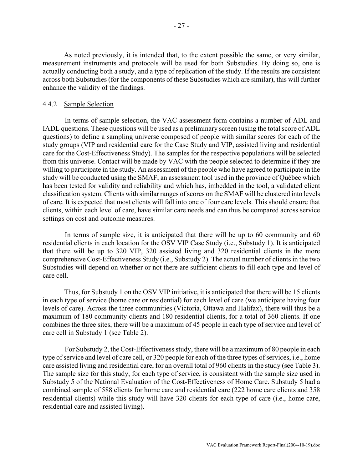<span id="page-29-0"></span>As noted previously, it is intended that, to the extent possible the same, or very similar, measurement instruments and protocols will be used for both Substudies. By doing so, one is actually conducting both a study, and a type of replication of the study. If the results are consistent across both Substudies (for the components of these Substudies which are similar), this will further enhance the validity of the findings.

#### 4.4.2 Sample Selection

In terms of sample selection, the VAC assessment form contains a number of ADL and IADL questions. These questions will be used as a preliminary screen (using the total score of ADL questions) to define a sampling universe composed of people with similar scores for each of the study groups (VIP and residential care for the Case Study and VIP, assisted living and residential care for the Cost-Effectiveness Study). The samples for the respective populations will be selected from this universe. Contact will be made by VAC with the people selected to determine if they are willing to participate in the study. An assessment of the people who have agreed to participate in the study will be conducted using the SMAF, an assessment tool used in the province of Québec which has been tested for validity and reliability and which has, imbedded in the tool, a validated client classification system. Clients with similar ranges of scores on the SMAF will be clustered into levels of care. It is expected that most clients will fall into one of four care levels. This should ensure that clients, within each level of care, have similar care needs and can thus be compared across service settings on cost and outcome measures.

In terms of sample size, it is anticipated that there will be up to 60 community and 60 residential clients in each location for the OSV VIP Case Study (i.e., Substudy 1). It is anticipated that there will be up to 320 VIP, 320 assisted living and 320 residential clients in the more comprehensive Cost-Effectiveness Study (i.e., Substudy 2). The actual number of clients in the two Substudies will depend on whether or not there are sufficient clients to fill each type and level of care cell.

Thus, for Substudy 1 on the OSV VIP initiative, it is anticipated that there will be 15 clients in each type of service (home care or residential) for each level of care (we anticipate having four levels of care). Across the three communities (Victoria, Ottawa and Halifax), there will thus be a maximum of 180 community clients and 180 residential clients, for a total of 360 clients. If one combines the three sites, there will be a maximum of 45 people in each type of service and level of care cell in Substudy 1 (see Table 2).

For Substudy 2, the Cost-Effectiveness study, there will be a maximum of 80 people in each type of service and level of care cell, or 320 people for each of the three types of services, i.e., home care assisted living and residential care, for an overall total of 960 clients in the study (see Table 3). The sample size for this study, for each type of service, is consistent with the sample size used in Substudy 5 of the National Evaluation of the Cost-Effectiveness of Home Care. Substudy 5 had a combined sample of 588 clients for home care and residential care (222 home care clients and 358 residential clients) while this study will have 320 clients for each type of care (i.e., home care, residential care and assisted living).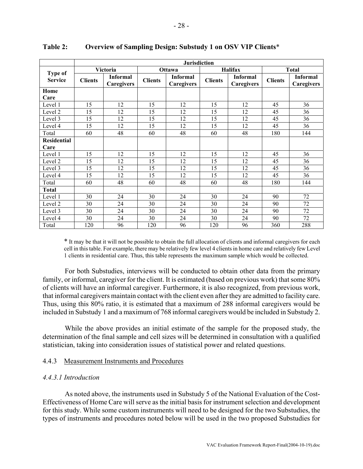|                                  | <b>Jurisdiction</b> |                                      |                |                               |                |                               |                |                               |
|----------------------------------|---------------------|--------------------------------------|----------------|-------------------------------|----------------|-------------------------------|----------------|-------------------------------|
|                                  | Victoria            |                                      | <b>Ottawa</b>  |                               | <b>Halifax</b> |                               | <b>Total</b>   |                               |
| <b>Type of</b><br><b>Service</b> | <b>Clients</b>      | <b>Informal</b><br><b>Caregivers</b> | <b>Clients</b> | <b>Informal</b><br>Caregivers | <b>Clients</b> | <b>Informal</b><br>Caregivers | <b>Clients</b> | <b>Informal</b><br>Caregivers |
| Home                             |                     |                                      |                |                               |                |                               |                |                               |
| Care                             |                     |                                      |                |                               |                |                               |                |                               |
| Level 1                          | 15                  | 12                                   | 15             | 12                            | 15             | 12                            | 45             | 36                            |
| Level 2                          | 15                  | 12                                   | 15             | 12                            | 15             | 12                            | 45             | 36                            |
| Level 3                          | 15                  | 12                                   | 15             | 12                            | 15             | 12                            | 45             | 36                            |
| Level 4                          | 15                  | 12                                   | 15             | 12                            | 15             | 12                            | 45             | 36                            |
| Total                            | 60                  | 48                                   | 60             | 48                            | 60             | 48                            | 180            | 144                           |
| <b>Residential</b>               |                     |                                      |                |                               |                |                               |                |                               |
| Care                             |                     |                                      |                |                               |                |                               |                |                               |
| Level 1                          | 15                  | 12                                   | 15             | 12                            | 15             | 12                            | 45             | 36                            |
| Level 2                          | 15                  | 12                                   | 15             | 12                            | 15             | 12                            | 45             | 36                            |
| Level 3                          | 15                  | 12                                   | 15             | 12                            | 15             | 12                            | 45             | 36                            |
| Level 4                          | 15                  | 12                                   | 15             | 12                            | 15             | 12                            | 45             | 36                            |
| Total                            | 60                  | 48                                   | 60             | 48                            | 60             | 48                            | 180            | 144                           |
| <b>Total</b>                     |                     |                                      |                |                               |                |                               |                |                               |
| Level 1                          | 30                  | 24                                   | 30             | 24                            | 30             | 24                            | 90             | 72                            |
| Level 2                          | 30                  | 24                                   | 30             | 24                            | 30             | 24                            | 90             | 72                            |
| Level 3                          | 30                  | 24                                   | 30             | 24                            | 30             | 24                            | 90             | 72                            |
| Level 4                          | 30                  | 24                                   | 30             | 24                            | 30             | 24                            | 90             | 72                            |
| Total                            | 120                 | 96                                   | 120            | 96                            | 120            | 96                            | 360            | 288                           |

#### <span id="page-30-0"></span>**Table 2: Overview of Sampling Design: Substudy 1 on OSV VIP Clients**\*

\* It may be that it will not be possible to obtain the full allocation of clients and informal caregivers for each cell in this table. For example, there may be relatively few level 4 clients in home care and relatively few Level 1 clients in residential care. Thus, this table represents the maximum sample which would be collected.

For both Substudies, interviews will be conducted to obtain other data from the primary family, or informal, caregiver for the client. It is estimated (based on previous work) that some 80% of clients will have an informal caregiver. Furthermore, it is also recognized, from previous work, that informal caregivers maintain contact with the client even after they are admitted to facility care. Thus, using this 80% ratio, it is estimated that a maximum of 288 informal caregivers would be included in Substudy 1 and a maximum of 768 informal caregivers would be included in Substudy 2.

While the above provides an initial estimate of the sample for the proposed study, the determination of the final sample and cell sizes will be determined in consultation with a qualified statistician, taking into consideration issues of statistical power and related questions.

#### 4.4.3 Measurement Instruments and Procedures

#### *4.4.3.1 Introduction*

As noted above, the instruments used in Substudy 5 of the National Evaluation of the Cost-Effectiveness of Home Care will serve as the initial basis for instrument selection and development for this study. While some custom instruments will need to be designed for the two Substudies, the types of instruments and procedures noted below will be used in the two proposed Substudies for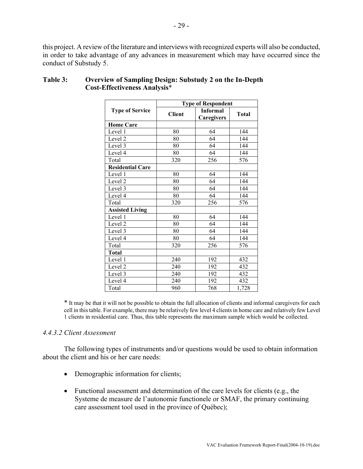<span id="page-31-0"></span>this project. A review of the literature and interviews with recognized experts will also be conducted, in order to take advantage of any advances in measurement which may have occurred since the conduct of Substudy 5.

|                         | <b>Type of Respondent</b> |                               |              |  |  |
|-------------------------|---------------------------|-------------------------------|--------------|--|--|
| <b>Type of Service</b>  | <b>Client</b>             | <b>Informal</b><br>Caregivers | <b>Total</b> |  |  |
| <b>Home Care</b>        |                           |                               |              |  |  |
| Level 1                 | 80                        | 64                            | 144          |  |  |
| Level 2                 | 80                        | 64                            | 144          |  |  |
| Level 3                 | 80                        | 64                            | 144          |  |  |
| Level 4                 | 80                        | 64                            | 144          |  |  |
| Total                   | 320                       | 256                           | 576          |  |  |
| <b>Residential Care</b> |                           |                               |              |  |  |
| Level 1                 | 80                        | 64                            | 144          |  |  |
| Level 2                 | 80                        | 64                            | 144          |  |  |
| Level 3                 | 80                        | 64                            | 144          |  |  |
| Level 4                 | 80                        | 64                            | 144          |  |  |
| Total                   | 320                       | 256                           | 576          |  |  |
| <b>Assisted Living</b>  |                           |                               |              |  |  |
| Level 1                 | 80                        | 64                            | 144          |  |  |
| Level 2                 | 80                        | 64                            | 144          |  |  |
| Level 3                 | 80                        | 64                            | 144          |  |  |
| Level 4                 | 80                        | 64                            | 144          |  |  |
| Total                   | 320                       | 256                           | 576          |  |  |
| <b>Total</b>            |                           |                               |              |  |  |
| Level 1                 | 240                       | 192                           | 432          |  |  |
| Level 2                 | 240                       | 192                           | 432          |  |  |
| Level 3                 | 240                       | 192                           | 432          |  |  |
| Level 4                 | 240                       | 192                           | 432          |  |  |
| Total                   | 960                       | 768                           | 1,728        |  |  |

# **Table 3: Overview of Sampling Design: Substudy 2 on the In-Depth Cost-Effectiveness Analysis**\*

\* It may be that it will not be possible to obtain the full allocation of clients and informal caregivers for each cell in this table. For example, there may be relatively few level 4 clients in home care and relatively few Level 1 clients in residential care. Thus, this table represents the maximum sample which would be collected.

#### *4.4.3.2 Client Assessment*

The following types of instruments and/or questions would be used to obtain information about the client and his or her care needs:

- Demographic information for clients;
- Functional assessment and determination of the care levels for clients (e.g., the Systeme de measure de l'autonomie functionele or SMAF, the primary continuing care assessment tool used in the province of Québec);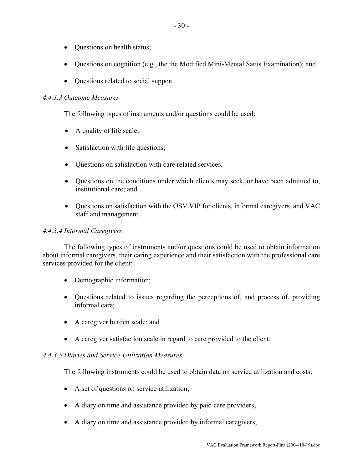- Questions on health status;
- Questions on cognition (e.g., the the Modified Mini-Mental Satus Examination); and
- Questions related to social support.

# *4.4.3.3 Outcome Measures*

The following types of instruments and/or questions could be used:

- A quality of life scale;
- Satisfaction with life questions;
- Ouestions on satisfaction with care related services;
- Questions on the conditions under which clients may seek, or have been admitted to, institutional care; and
- Questions on satisfaction with the OSV VIP for clients, informal caregivers, and VAC staff and management.

# *4.4.3.4 Informal Caregivers*

The following types of instruments and/or questions could be used to obtain information about informal caregivers, their caring experience and their satisfaction with the professional care services provided for the client:

- Demographic information;
- Questions related to issues regarding the perceptions of, and process of, providing informal care;
- A caregiver burden scale; and
- A caregiver satisfaction scale in regard to care provided to the client.

# *4.4.3.5 Diaries and Service Utilization Measures*

The following instruments could be used to obtain data on service utilization and costs:

- A set of questions on service utilization;
- A diary on time and assistance provided by paid care providers;
- A diary on time and assistance provided by informal caregivers;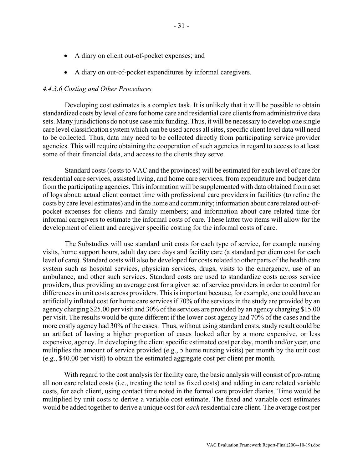- A diary on client out-of-pocket expenses; and
- A diary on out-of-pocket expenditures by informal caregivers.

#### *4.4.3.6 Costing and Other Procedures*

Developing cost estimates is a complex task. It is unlikely that it will be possible to obtain standardized costs by level of care for home care and residential care clients from administrative data sets. Many jurisdictions do not use case mix funding. Thus, it will be necessary to develop one single care level classification system which can be used across all sites, specific client level data will need to be collected. Thus, data may need to be collected directly from participating service provider agencies. This will require obtaining the cooperation of such agencies in regard to access to at least some of their financial data, and access to the clients they serve.

Standard costs (costs to VAC and the provinces) will be estimated for each level of care for residential care services, assisted living, and home care services, from expenditure and budget data from the participating agencies. This information will be supplemented with data obtained from a set of logs about: actual client contact time with professional care providers in facilities (to refine the costs by care level estimates) and in the home and community; information about care related out-ofpocket expenses for clients and family members; and information about care related time for informal caregivers to estimate the informal costs of care. These latter two items will allow for the development of client and caregiver specific costing for the informal costs of care.

The Substudies will use standard unit costs for each type of service, for example nursing visits, home support hours, adult day care days and facility care (a standard per diem cost for each level of care). Standard costs will also be developed for costs related to other parts of the health care system such as hospital services, physician services, drugs, visits to the emergency, use of an ambulance, and other such services. Standard costs are used to standardize costs across service providers, thus providing an average cost for a given set of service providers in order to control for differences in unit costs across providers. This is important because, for example, one could have an artificially inflated cost for home care services if 70% of the services in the study are provided by an agency charging \$25.00 per visit and 30% of the services are provided by an agency charging \$15.00 per visit. The results would be quite different if the lower cost agency had 70% of the cases and the more costly agency had 30% of the cases. Thus, without using standard costs, study result could be an artifact of having a higher proportion of cases looked after by a more expensive, or less expensive, agency. In developing the client specific estimated cost per day, month and/or year, one multiplies the amount of service provided (e.g., 5 home nursing visits) per month by the unit cost (e.g., \$40.00 per visit) to obtain the estimated aggregate cost per client per month.

With regard to the cost analysis for facility care, the basic analysis will consist of pro-rating all non care related costs (i.e., treating the total as fixed costs) and adding in care related variable costs, for each client, using contact time noted in the formal care provider diaries. Time would be multiplied by unit costs to derive a variable cost estimate. The fixed and variable cost estimates would be added together to derive a unique cost for *each* residential care client. The average cost per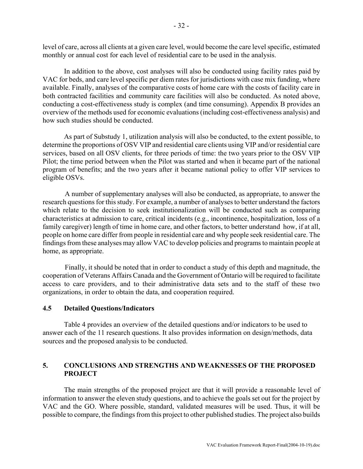<span id="page-34-0"></span>level of care, across all clients at a given care level, would become the care level specific, estimated monthly or annual cost for each level of residential care to be used in the analysis.

In addition to the above, cost analyses will also be conducted using facility rates paid by VAC for beds, and care level specific per diem rates for jurisdictions with case mix funding, where available. Finally, analyses of the comparative costs of home care with the costs of facility care in both contracted facilities and community care facilities will also be conducted. As noted above, conducting a cost-effectiveness study is complex (and time consuming). Appendix B provides an overview of the methods used for economic evaluations (including cost-effectiveness analysis) and how such studies should be conducted.

As part of Substudy 1, utilization analysis will also be conducted, to the extent possible, to determine the proportions of OSV VIP and residential care clients using VIP and/or residential care services, based on all OSV clients, for three periods of time: the two years prior to the OSV VIP Pilot; the time period between when the Pilot was started and when it became part of the national program of benefits; and the two years after it became national policy to offer VIP services to eligible OSVs.

A number of supplementary analyses will also be conducted, as appropriate, to answer the research questions for this study. For example, a number of analyses to better understand the factors which relate to the decision to seek institutionalization will be conducted such as comparing characteristics at admission to care, critical incidents (e.g., incontinence, hospitalization, loss of a family caregiver) length of time in home care, and other factors, to better understand how, if at all, people on home care differ from people in residential care and why people seek residential care. The findings from these analyses may allow VAC to develop policies and programs to maintain people at home, as appropriate.

Finally, it should be noted that in order to conduct a study of this depth and magnitude, the cooperation of Veterans Affairs Canada and the Government of Ontario will be required to facilitate access to care providers, and to their administrative data sets and to the staff of these two organizations, in order to obtain the data, and cooperation required.

#### **4.5 Detailed Questions/Indicators**

Table 4 provides an overview of the detailed questions and/or indicators to be used to answer each of the 11 research questions. It also provides information on design/methods, data sources and the proposed analysis to be conducted.

# **5. CONCLUSIONS AND STRENGTHS AND WEAKNESSES OF THE PROPOSED PROJECT**

The main strengths of the proposed project are that it will provide a reasonable level of information to answer the eleven study questions, and to achieve the goals set out for the project by VAC and the GO. Where possible, standard, validated measures will be used. Thus, it will be possible to compare, the findings from this project to other published studies. The project also builds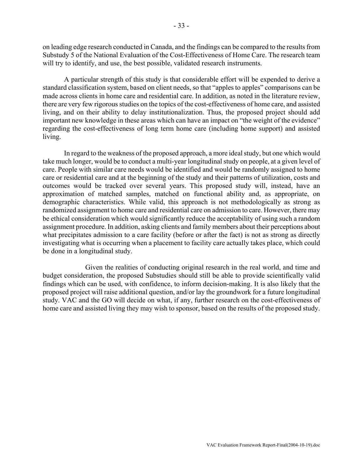on leading edge research conducted in Canada, and the findings can be compared to the results from Substudy 5 of the National Evaluation of the Cost-Effectiveness of Home Care. The research team will try to identify, and use, the best possible, validated research instruments.

A particular strength of this study is that considerable effort will be expended to derive a standard classification system, based on client needs, so that "apples to apples" comparisons can be made across clients in home care and residential care. In addition, as noted in the literature review, there are very few rigorous studies on the topics of the cost-effectiveness of home care, and assisted living, and on their ability to delay institutionalization. Thus, the proposed project should add important new knowledge in these areas which can have an impact on "the weight of the evidence" regarding the cost-effectiveness of long term home care (including home support) and assisted living.

In regard to the weakness of the proposed approach, a more ideal study, but one which would take much longer, would be to conduct a multi-year longitudinal study on people, at a given level of care. People with similar care needs would be identified and would be randomly assigned to home care or residential care and at the beginning of the study and their patterns of utilization, costs and outcomes would be tracked over several years. This proposed study will, instead, have an approximation of matched samples, matched on functional ability and, as appropriate, on demographic characteristics. While valid, this approach is not methodologically as strong as randomized assignment to home care and residential care on admission to care. However, there may be ethical consideration which would significantly reduce the acceptability of using such a random assignment procedure. In addition, asking clients and family members about their perceptions about what precipitates admission to a care facility (before or after the fact) is not as strong as directly investigating what is occurring when a placement to facility care actually takes place, which could be done in a longitudinal study.

Given the realities of conducting original research in the real world, and time and budget consideration, the proposed Substudies should still be able to provide scientifically valid findings which can be used, with confidence, to inform decision-making. It is also likely that the proposed project will raise additional question, and/or lay the groundwork for a future longitudinal study. VAC and the GO will decide on what, if any, further research on the cost-effectiveness of home care and assisted living they may wish to sponsor, based on the results of the proposed study.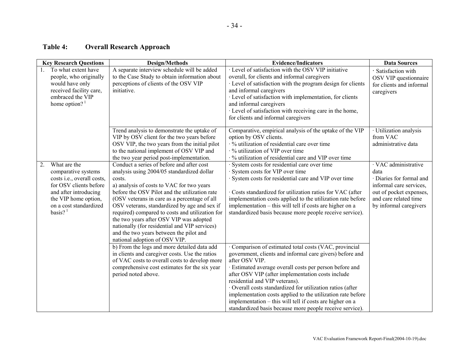# **Table 4: Overall Research Approach**

<span id="page-36-0"></span>

|    | <b>Key Research Questions</b>                                                                                                                                                        | <b>Design/Methods</b>                                                                                                                                                                                                                                                                                                                                                                                                                                                                                                      | <b>Evidence/Indicators</b>                                                                                                                                                                                                                                                                                                                                                                                                                                                                                                                | <b>Data Sources</b>                                                                                                                                               |
|----|--------------------------------------------------------------------------------------------------------------------------------------------------------------------------------------|----------------------------------------------------------------------------------------------------------------------------------------------------------------------------------------------------------------------------------------------------------------------------------------------------------------------------------------------------------------------------------------------------------------------------------------------------------------------------------------------------------------------------|-------------------------------------------------------------------------------------------------------------------------------------------------------------------------------------------------------------------------------------------------------------------------------------------------------------------------------------------------------------------------------------------------------------------------------------------------------------------------------------------------------------------------------------------|-------------------------------------------------------------------------------------------------------------------------------------------------------------------|
|    | To what extent have<br>people, who originally<br>would have only<br>received facility care,<br>embraced the VIP<br>home option? $1$                                                  | A separate interview schedule will be added<br>to the Case Study to obtain information about<br>perceptions of clients of the OSV VIP<br>initiative.                                                                                                                                                                                                                                                                                                                                                                       | · Level of satisfaction with the OSV VIP initiative<br>overall, for clients and informal caregivers<br>· Level of satisfaction with the program design for clients<br>and informal caregivers<br>· Level of satisfaction with implementation, for clients<br>and informal caregivers<br>· Level of satisfaction with receiving care in the home,<br>for clients and informal caregivers                                                                                                                                                   | · Satisfaction with<br>OSV VIP questionnaire<br>for clients and informal<br>caregivers                                                                            |
|    |                                                                                                                                                                                      | Trend analysis to demonstrate the uptake of<br>VIP by OSV client for the two years before<br>OSV VIP, the two years from the initial pilot<br>to the national implement of OSV VIP and<br>the two year period post-implementation.                                                                                                                                                                                                                                                                                         | Comparative, empirical analysis of the uptake of the VIP<br>option by OSV clients.<br>· % utilization of residential care over time<br>$\cdot$ % utilization of VIP over time<br>· % utilization of residential care and VIP over time                                                                                                                                                                                                                                                                                                    | · Utilization analysis<br>from VAC<br>administrative data                                                                                                         |
| 2. | What are the<br>comparative systems<br>costs i.e., overall costs,<br>for OSV clients before<br>and after introducing<br>the VIP home option,<br>on a cost standardized<br>basis? $1$ | Conduct a series of before and after cost<br>analysis using 2004/05 standardized dollar<br>costs.<br>a) analysis of costs to VAC for two years<br>before the OSV Pilot and the utilization rate<br>(OSV veterans in care as a percentage of all<br>OSV veterans, standardized by age and sex if<br>required) compared to costs and utilization for<br>the two years after OSV VIP was adopted<br>nationally (for residential and VIP services)<br>and the two years between the pilot and<br>national adoption of OSV VIP. | · System costs for residential care over time<br>· System costs for VIP over time<br>· System costs for residential care and VIP over time<br>Costs standardized for utilization ratios for VAC (after<br>implementation costs applied to the utilization rate before<br>implementation – this will tell if costs are higher on a<br>standardized basis because more people receive service).                                                                                                                                             | · VAC administrative<br>data<br>· Diaries for formal and<br>informal care services,<br>out of pocket expenses,<br>and care related time<br>by informal caregivers |
|    |                                                                                                                                                                                      | b) From the logs and more detailed data add<br>in clients and caregiver costs. Use the ratios<br>of VAC costs to overall costs to develop more<br>comprehensive cost estimates for the six year<br>period noted above.                                                                                                                                                                                                                                                                                                     | Comparison of estimated total costs (VAC, provincial<br>government, clients and informal care givers) before and<br>after OSV VIP.<br>· Estimated average overall costs per person before and<br>after OSV VIP (after implementation costs include<br>residential and VIP veterans).<br>· Overall costs standardized for utilization ratios (after<br>implementation costs applied to the utilization rate before<br>implementation - this will tell if costs are higher on a<br>standardized basis because more people receive service). |                                                                                                                                                                   |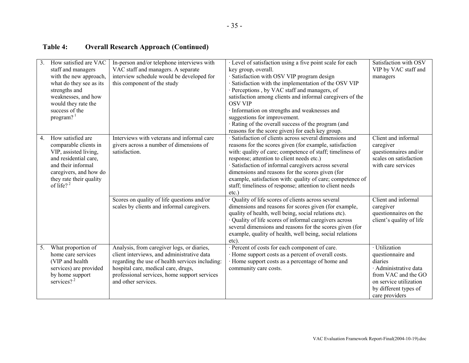# **Table 4: Overall Research Approach (Continued)**

| $\overline{3}$ . | How satisfied are VAC<br>staff and managers<br>with the new approach,<br>what do they see as its<br>strengths and<br>weaknesses, and how<br>would they rate the<br>success of the<br>program? <sup>1</sup> | In-person and/or telephone interviews with<br>VAC staff and managers. A separate<br>interview schedule would be developed for<br>this component of the study                                                                                              | · Level of satisfaction using a five point scale for each<br>key group, overall.<br>· Satisfaction with OSV VIP program design<br>Satisfaction with the implementation of the OSV VIP<br>· Perceptions , by VAC staff and managers, of<br>satisfaction among clients and informal caregivers of the<br><b>OSV VIP</b><br>· Information on strengths and weaknesses and<br>suggestions for improvement.<br>· Rating of the overall success of the program (and<br>reasons for the score given) for each key group. | Satisfaction with OSV<br>VIP by VAC staff and<br>managers                                                                                                          |
|------------------|------------------------------------------------------------------------------------------------------------------------------------------------------------------------------------------------------------|-----------------------------------------------------------------------------------------------------------------------------------------------------------------------------------------------------------------------------------------------------------|-------------------------------------------------------------------------------------------------------------------------------------------------------------------------------------------------------------------------------------------------------------------------------------------------------------------------------------------------------------------------------------------------------------------------------------------------------------------------------------------------------------------|--------------------------------------------------------------------------------------------------------------------------------------------------------------------|
| 4.               | How satisfied are<br>comparable clients in<br>VIP, assisted living,<br>and residential care.<br>and their informal<br>caregivers, and how do<br>they rate their quality<br>of life? $2^2$                  | Interviews with veterans and informal care<br>givers across a number of dimensions of<br>satisfaction.                                                                                                                                                    | · Satisfaction of clients across several dimensions and<br>reasons for the scores given (for example, satisfaction<br>with: quality of care; competence of staff; timeliness of<br>response; attention to client needs etc.)<br>· Satisfaction of informal caregivers across several<br>dimensions and reasons for the scores given (for<br>example, satisfaction with: quality of care; competence of<br>staff; timeliness of response; attention to client needs<br>$etc.$ )                                    | Client and informal<br>caregiver<br>questionnaires and/or<br>scales on satisfaction<br>with care services                                                          |
|                  |                                                                                                                                                                                                            | Scores on quality of life questions and/or<br>scales by clients and informal caregivers.                                                                                                                                                                  | · Quality of life scores of clients across several<br>dimensions and reasons for scores given (for example,<br>quality of health, well being, social relations etc).<br>· Quality of life scores of informal caregivers across<br>several dimensions and reasons for the scores given (for<br>example, quality of health, well being, social relations<br>etc).                                                                                                                                                   | Client and informal<br>caregiver<br>questionnaires on the<br>client's quality of life                                                                              |
| 5.               | What proportion of<br>home care services<br>(VIP and health<br>services) are provided<br>by home support<br>services? $2^2$                                                                                | Analysis, from caregiver logs, or diaries,<br>client interviews, and administrative data<br>regarding the use of health services including:<br>hospital care, medical care, drugs,<br>professional services, home support services<br>and other services. | · Percent of costs for each component of care.<br>· Home support costs as a percent of overall costs.<br>· Home support costs as a percentage of home and<br>community care costs.                                                                                                                                                                                                                                                                                                                                | · Utilization<br>questionnaire and<br>diaries<br>· Administrative data<br>from VAC and the GO<br>on service utilization<br>by different types of<br>care providers |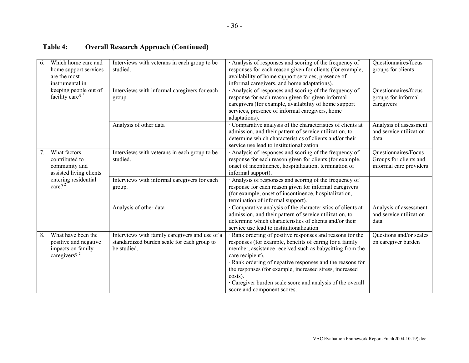# **Table 4: Overall Research Approach (Continued)**

| 6. | Which home care and<br>home support services<br>are the most<br>instrumental in       | Interviews with veterans in each group to be<br>studied.                                                     | Analysis of responses and scoring of the frequency of<br>responses for each reason given for clients (for example,<br>availability of home support services, presence of<br>informal caregivers, and home adaptations).                                                                                                                                                                                                              | Questionnaires/focus<br>groups for clients                                |
|----|---------------------------------------------------------------------------------------|--------------------------------------------------------------------------------------------------------------|--------------------------------------------------------------------------------------------------------------------------------------------------------------------------------------------------------------------------------------------------------------------------------------------------------------------------------------------------------------------------------------------------------------------------------------|---------------------------------------------------------------------------|
|    | keeping people out of<br>facility care? <sup>2</sup>                                  | Interviews with informal caregivers for each<br>group.                                                       | Analysis of responses and scoring of the frequency of<br>response for each reason given for given informal<br>caregivers (for example, availability of home support<br>services, presence of informal caregivers, home<br>adaptations).                                                                                                                                                                                              | Questionnaires/focus<br>groups for informal<br>caregivers                 |
|    |                                                                                       | Analysis of other data                                                                                       | · Comparative analysis of the characteristics of clients at<br>admission, and their pattern of service utilization, to<br>determine which characteristics of clients and/or their<br>service use lead to institutionalization                                                                                                                                                                                                        | Analysis of assessment<br>and service utilization<br>data                 |
| 7. | What factors<br>contributed to<br>community and<br>assisted living clients            | Interviews with veterans in each group to be<br>studied.                                                     | Analysis of responses and scoring of the frequency of<br>response for each reason given for clients (for example,<br>onset of incontinence, hospitalization, termination of<br>informal support).                                                                                                                                                                                                                                    | Questionnaires/Focus<br>Groups for clients and<br>informal care providers |
|    | entering residential<br>care? $^{2}$                                                  | Interviews with informal caregivers for each<br>group.                                                       | · Analysis of responses and scoring of the frequency of<br>response for each reason given for informal caregivers<br>(for example, onset of incontinence, hospitalization,<br>termination of informal support).                                                                                                                                                                                                                      |                                                                           |
|    |                                                                                       | Analysis of other data                                                                                       | · Comparative analysis of the characteristics of clients at<br>admission, and their pattern of service utilization, to<br>determine which characteristics of clients and/or their<br>service use lead to institutionalization                                                                                                                                                                                                        | Analysis of assessment<br>and service utilization<br>data                 |
| 8. | What have been the<br>positive and negative<br>impacts on family<br>caregivers? $2^2$ | Interviews with family caregivers and use of a<br>standardized burden scale for each group to<br>be studied. | · Rank ordering of positive responses and reasons for the<br>responses (for example, benefits of caring for a family<br>member, assistance received such as babysitting from the<br>care recipient).<br>· Rank ordering of negative responses and the reasons for<br>the responses (for example, increased stress, increased<br>costs).<br>· Caregiver burden scale score and analysis of the overall<br>score and component scores. | Questions and/or scales<br>on caregiver burden                            |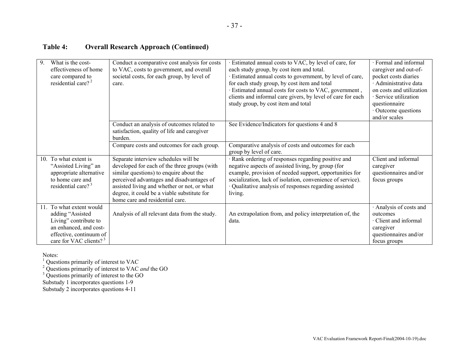# **Table 4: Overall Research Approach (Continued)**

| 9.  | What is the cost-                  | Conduct a comparative cost analysis for costs | · Estimated annual costs to VAC, by level of care, for      | · Formal and informal    |
|-----|------------------------------------|-----------------------------------------------|-------------------------------------------------------------|--------------------------|
|     | effectiveness of home              | to VAC, costs to government, and overall      | each study group, by cost item and total.                   | caregiver and out-of-    |
|     | care compared to                   | societal costs, for each group, by level of   | · Estimated annual costs to government, by level of care,   | pocket costs diaries     |
|     | residential care? <sup>2</sup>     | care.                                         | for each study group, by cost item and total                | · Administrative data    |
|     |                                    |                                               | · Estimated annual costs for costs to VAC, government,      | on costs and utilization |
|     |                                    |                                               | clients and informal care givers, by level of care for each | · Service utilization    |
|     |                                    |                                               | study group, by cost item and total                         | questionnaire            |
|     |                                    |                                               |                                                             | · Outcome questions      |
|     |                                    |                                               |                                                             | and/or scales            |
|     |                                    | Conduct an analysis of outcomes related to    | See Evidence/Indicators for questions 4 and 8               |                          |
|     |                                    | satisfaction, quality of life and caregiver   |                                                             |                          |
|     |                                    | burden.                                       |                                                             |                          |
|     |                                    | Compare costs and outcomes for each group.    | Comparative analysis of costs and outcomes for each         |                          |
|     |                                    |                                               | group by level of care.                                     |                          |
|     | 10. To what extent is              | Separate interview schedules will be          | · Rank ordering of responses regarding positive and         | Client and informal      |
|     | "Assisted Living" an               | developed for each of the three groups (with  | negative aspects of assisted living, by group (for          | caregiver                |
|     | appropriate alternative            | similar questions) to enquire about the       | example, provision of needed support, opportunities for     | questionnaires and/or    |
|     | to home care and                   | perceived advantages and disadvantages of     | socialization, lack of isolation, convenience of service).  | focus groups             |
|     | residential care? $3^3$            | assisted living and whether or not, or what   | · Qualitative analysis of responses regarding assisted      |                          |
|     |                                    | degree, it could be a viable substitute for   | living.                                                     |                          |
|     |                                    | home care and residential care.               |                                                             |                          |
| 11. | To what extent would               |                                               |                                                             | · Analysis of costs and  |
|     |                                    |                                               |                                                             |                          |
|     | adding "Assisted                   | Analysis of all relevant data from the study. | An extrapolation from, and policy interpretation of, the    | outcomes                 |
|     | Living" contribute to              |                                               | data.                                                       | · Client and informal    |
|     | an enhanced, and cost-             |                                               |                                                             | caregiver                |
|     | effective, continuum of            |                                               |                                                             | questionnaires and/or    |
|     | care for VAC clients? <sup>3</sup> |                                               |                                                             | focus groups             |

Notes:

 $<sup>1</sup>$  Questions primarily of interest to VAC</sup>

2 Questions primarily of interest to VAC *and* the GO

 $3$  Questions primarily of interest to the GO

Substudy 1 incorporates questions 1-9

Substudy 2 incorporates questions 4-11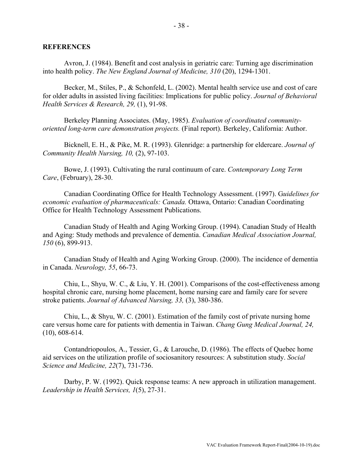#### <span id="page-40-0"></span>**REFERENCES**

Avron, J. (1984). Benefit and cost analysis in geriatric care: Turning age discrimination into health policy. *The New England Journal of Medicine, 310* (20), 1294-1301.

Becker, M., Stiles, P., & Schonfeld, L. (2002). Mental health service use and cost of care for older adults in assisted living facilities: Implications for public policy. *Journal of Behavioral Health Services & Research, 29,* (1), 91-98.

Berkeley Planning Associates. (May, 1985). *Evaluation of coordinated communityoriented long-term care demonstration projects.* (Final report). Berkeley, California: Author.

Bicknell, E. H., & Pike, M. R. (1993). Glenridge: a partnership for eldercare. *Journal of Community Health Nursing, 10,* (2), 97-103.

Bowe, J. (1993). Cultivating the rural continuum of care. *Contemporary Long Term Care*, (February), 28-30.

Canadian Coordinating Office for Health Technology Assessment. (1997). G*uidelines for economic evaluation of pharmaceuticals: Canada.* Ottawa, Ontario: Canadian Coordinating Office for Health Technology Assessment Publications.

Canadian Study of Health and Aging Working Group. (1994). Canadian Study of Health and Aging: Study methods and prevalence of dementia. *Canadian Medical Association Journal, 150* (6), 899-913.

Canadian Study of Health and Aging Working Group. (2000). The incidence of dementia in Canada. *Neurology, 55*, 66-73.

Chiu, L., Shyu, W. C., & Liu, Y. H. (2001). Comparisons of the cost-effectiveness among hospital chronic care, nursing home placement, home nursing care and family care for severe stroke patients. *Journal of Advanced Nursing, 33,* (3), 380-386.

Chiu, L., & Shyu, W. C. (2001). Estimation of the family cost of private nursing home care versus home care for patients with dementia in Taiwan. *Chang Gung Medical Journal, 24,* (10), 608-614.

Contandriopoulos, A., Tessier, G., & Larouche, D. (1986). The effects of Quebec home aid services on the utilization profile of sociosanitory resources: A substitution study. *Social Science and Medicine, 22*(7), 731-736.

Darby, P. W. (1992). Quick response teams: A new approach in utilization management. *Leadership in Health Services, 1*(5), 27-31.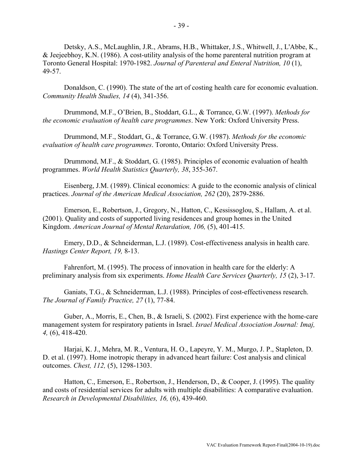Detsky, A.S., McLaughlin, J.R., Abrams, H.B., Whittaker, J.S., Whitwell, J., L'Abbe, K., & Jeejeebhoy, K.N. (1986). A cost-utility analysis of the home parenteral nutrition program at Toronto General Hospital: 1970-1982. *Journal of Parenteral and Enteral Nutrition, 10* (1), 49-57.

Donaldson, C. (1990). The state of the art of costing health care for economic evaluation. *Community Health Studies, 14* (4), 341-356.

Drummond, M.F., O'Brien, B., Stoddart, G.L., & Torrance, G.W. (1997). *Methods for the economic evaluation of health care programmes*. New York: Oxford University Press.

Drummond, M.F., Stoddart, G., & Torrance, G.W. (1987). *Methods for the economic evaluation of health care programmes*. Toronto, Ontario: Oxford University Press.

Drummond, M.F., & Stoddart, G. (1985). Principles of economic evaluation of health programmes. *World Health Statistics Quarterly, 38*, 355-367.

Eisenberg, J.M. (1989). Clinical economics: A guide to the economic analysis of clinical practices. *Journal of the American Medical Association, 262* (20), 2879-2886.

Emerson, E., Robertson, J., Gregory, N., Hatton, C., Kessissoglou, S., Hallam, A. et al. (2001). Quality and costs of supported living residences and group homes in the United Kingdom. *American Journal of Mental Retardation, 106,* (5), 401-415.

Emery, D.D., & Schneiderman, L.J. (1989). Cost-effectiveness analysis in health care. *Hastings Center Report, 19,* 8-13.

Fahrenfort, M. (1995). The process of innovation in health care for the elderly: A preliminary analysis from six experiments. *Home Health Care Services Quarterly, 15* (2), 3-17.

Ganiats, T.G., & Schneiderman, L.J. (1988). Principles of cost-effectiveness research. *The Journal of Family Practice, 27* (1), 77-84.

Guber, A., Morris, E., Chen, B., & Israeli, S. (2002). First experience with the home-care management system for respiratory patients in Israel. *Israel Medical Association Journal: Imaj, 4,* (6), 418-420.

Harjai, K. J., Mehra, M. R., Ventura, H. O., Lapeyre, Y. M., Murgo, J. P., Stapleton, D. D. et al. (1997). Home inotropic therapy in advanced heart failure: Cost analysis and clinical outcomes. *Chest, 112,* (5), 1298-1303.

Hatton, C., Emerson, E., Robertson, J., Henderson, D., & Cooper, J. (1995). The quality and costs of residential services for adults with multiple disabilities: A comparative evaluation. *Research in Developmental Disabilities, 16,* (6), 439-460.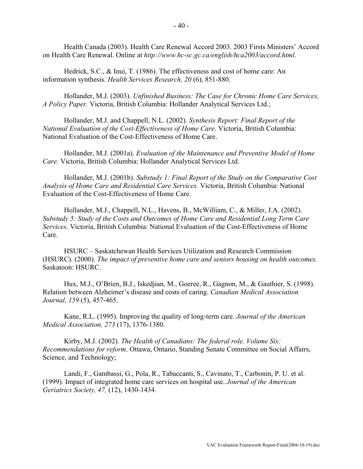Health Canada (2003). Health Care Renewal Accord 2003. 2003 Firsts Ministers' Accord on Health Care Renewal. Online at *<http://www.hc-sc.gc.ca/english/hca2003/accord.html>*.

Hedrick, S.C., & Inui, T. (1986). The effectiveness and cost of home care: An information synthesis. *Health Services Research, 20* (6), 851-880.

Hollander, M.J. (2003). *Unfinished Business: The Case for Chronic Home Care Services, A Policy Paper.* Victoria, British Columbia: Hollander Analytical Services Ltd.;

Hollander, M.J. and Chappell, N.L. (2002). *Synthesis Report: Final Report of the National Evaluation of the Cost-Effectiveness of Home Care*. Victoria, British Columbia: National Evaluation of the Cost-Effectiveness of Home Care.

Hollander, M.J. (2001a). *Evaluation of the Maintenance and Preventive Model of Home Care.* Victoria, British Columbia: Hollander Analytical Services Ltd.

Hollander, M.J. (2001b). *Substudy 1: Final Report of the Study on the Comparative Cost Analysis of Home Care and Residential Care Services.* Victoria, British Columbia: National Evaluation of the Cost-Effectiveness of Home Care.

Hollander, M.J., Chappell, N.L., Havens, B., McWilliam, C., & Miller, J.A. (2002). *Substudy 5: Study of the Costs and Outcomes of Home Care and Residential Long Term Care Services*. Victoria, British Columbia: National Evaluation of the Cost-Effectiveness of Home Care.

HSURC – Saskatchewan Health Services Utilization and Research Commission (HSURC). (2000). *The impact of preventive home care and seniors housing on health outcomes.* Saskatoon: HSURC.

Hux, M.J., O'Brien, B.J., Iskedjian, M., Goeree, R., Gagnon, M., & Gauthier, S. (1998). Relation between Alzheimer's disease and costs of caring. *Canadian Medical Association Journal, 159* (5), 457-465.

Kane, R.L. (1995). Improving the quality of long-term care. *Journal of the American Medical Association, 273* (17), 1376-1380.

Kirby, M.J. (2002). *The Health of Canadians: The federal role. Volume Six: Recommendations for reform*. Ottawa, Ontario, Standing Senate Committee on Social Affairs, Science, and Technology;

Landi, F., Gambassi, G., Pola, R., Tabaccanti, S., Cavinato, T., Carbonin, P. U. et al. (1999). Impact of integrated home care services on hospital use. *Journal of the American Geriatrics Society, 47,* (12), 1430-1434.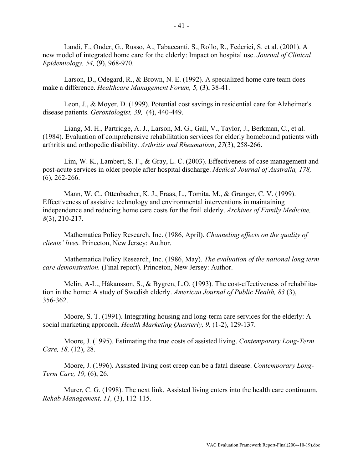Landi, F., Onder, G., Russo, A., Tabaccanti, S., Rollo, R., Federici, S. et al. (2001). A new model of integrated home care for the elderly: Impact on hospital use. *Journal of Clinical Epidemiology, 54,* (9), 968-970.

Larson, D., Odegard, R., & Brown, N. E. (1992). A specialized home care team does make a difference. *Healthcare Management Forum, 5,* (3), 38-41.

Leon, J., & Moyer, D. (1999). Potential cost savings in residential care for Alzheimer's disease patients. *Gerontologist, 39,* (4), 440-449.

Liang, M. H., Partridge, A. J., Larson, M. G., Gall, V., Taylor, J., Berkman, C., et al. (1984). Evaluation of comprehensive rehabilitation services for elderly homebound patients with arthritis and orthopedic disability. *Arthritis and Rheumatism*, *27*(3), 258-266.

Lim, W. K., Lambert, S. F., & Gray, L. C. (2003). Effectiveness of case management and post-acute services in older people after hospital discharge. *Medical Journal of Australia, 178,* (6), 262-266.

Mann, W. C., Ottenbacher, K. J., Fraas, L., Tomita, M., & Granger, C. V. (1999). Effectiveness of assistive technology and environmental interventions in maintaining independence and reducing home care costs for the frail elderly. *Archives of Family Medicine, 8*(3), 210-217.

Mathematica Policy Research, Inc. (1986, April). *Channeling effects on the quality of clients' lives.* Princeton, New Jersey: Author.

Mathematica Policy Research, Inc. (1986, May). *The evaluation of the national long term care demonstration.* (Final report). Princeton, New Jersey: Author.

Melin, A-L., Håkansson, S., & Bygren, L.O. (1993). The cost-effectiveness of rehabilitation in the home: A study of Swedish elderly. *American Journal of Public Health, 83* (3), 356-362.

Moore, S. T. (1991). Integrating housing and long-term care services for the elderly: A social marketing approach. *Health Marketing Quarterly, 9,* (1-2), 129-137.

Moore, J. (1995). Estimating the true costs of assisted living. *Contemporary Long-Term Care, 18,* (12), 28.

Moore, J. (1996). Assisted living cost creep can be a fatal disease. *Contemporary Long-Term Care, 19,* (6), 26.

Murer, C. G. (1998). The next link. Assisted living enters into the health care continuum. *Rehab Management, 11,* (3), 112-115.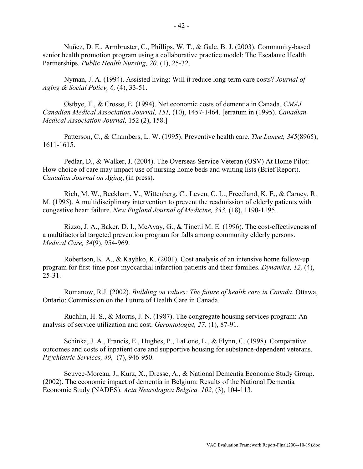Nuñez, D. E., Armbruster, C., Phillips, W. T., & Gale, B. J. (2003). Community-based senior health promotion program using a collaborative practice model: The Escalante Health Partnerships. *Public Health Nursing, 20,* (1), 25-32.

Nyman, J. A. (1994). Assisted living: Will it reduce long-term care costs? *Journal of Aging & Social Policy, 6,* (4), 33-51.

Østbye, T., & Crosse, E. (1994). Net economic costs of dementia in Canada. *CMAJ Canadian Medical Association Journal, 151,* (10), 1457-1464. [erratum in (1995). *Canadian Medical Association Journal,* 152 (2), 158.]

Patterson, C., & Chambers, L. W. (1995). Preventive health care. *The Lancet, 345*(8965), 1611-1615.

Pedlar, D., & Walker, J. (2004). The Overseas Service Veteran (OSV) At Home Pilot: How choice of care may impact use of nursing home beds and waiting lists (Brief Report). *Canadian Journal on Aging*, (in press).

Rich, M. W., Beckham, V., Wittenberg, C., Leven, C. L., Freedland, K. E., & Carney, R. M. (1995). A multidisciplinary intervention to prevent the readmission of elderly patients with congestive heart failure. *New England Journal of Medicine, 333,* (18), 1190-1195.

Rizzo, J. A., Baker, D. I., McAvay, G., & Tinetti M. E. (1996). The cost-effectiveness of a multifactorial targeted prevention program for falls among community elderly persons. *Medical Care, 34*(9), 954-969.

Robertson, K. A., & Kayhko, K. (2001). Cost analysis of an intensive home follow-up program for first-time post-myocardial infarction patients and their families. *Dynamics, 12,* (4), 25-31.

Romanow, R.J. (2002). *Building on values: The future of health care in Canada*. Ottawa, Ontario: Commission on the Future of Health Care in Canada.

Ruchlin, H. S., & Morris, J. N. (1987). The congregate housing services program: An analysis of service utilization and cost. *Gerontologist, 27,* (1), 87-91.

Schinka, J. A., Francis, E., Hughes, P., LaLone, L., & Flynn, C. (1998). Comparative outcomes and costs of inpatient care and supportive housing for substance-dependent veterans. *Psychiatric Services, 49,* (7), 946-950.

Scuvee-Moreau, J., Kurz, X., Dresse, A., & National Dementia Economic Study Group. (2002). The economic impact of dementia in Belgium: Results of the National Dementia Economic Study (NADES). *Acta Neurologica Belgica, 102,* (3), 104-113.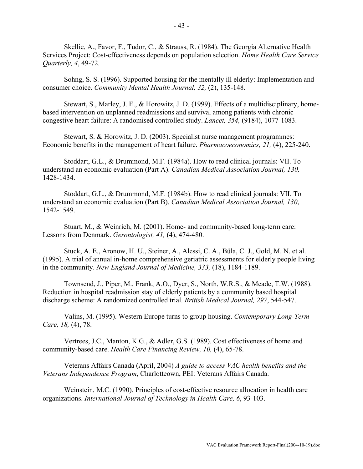Skellie, A., Favor, F., Tudor, C., & Strauss, R. (1984). The Georgia Alternative Health Services Project: Cost-effectiveness depends on population selection. *Home Health Care Service Quarterly, 4*, 49-72.

Sohng, S. S. (1996). Supported housing for the mentally ill elderly: Implementation and consumer choice. *Community Mental Health Journal, 32,* (2), 135-148.

Stewart, S., Marley, J. E., & Horowitz, J. D. (1999). Effects of a multidisciplinary, homebased intervention on unplanned readmissions and survival among patients with chronic congestive heart failure: A randomised controlled study. *Lancet, 354,* (9184), 1077-1083.

Stewart, S. & Horowitz, J. D. (2003). Specialist nurse management programmes: Economic benefits in the management of heart failure. *Pharmacoeconomics, 21,* (4), 225-240.

Stoddart, G.L., & Drummond, M.F. (1984a). How to read clinical journals: VII. To understand an economic evaluation (Part A). *Canadian Medical Association Journal, 130,* 1428-1434.

Stoddart, G.L., & Drummond, M.F. (1984b). How to read clinical journals: VII. To understand an economic evaluation (Part B). *Canadian Medical Association Journal, 130*, 1542-1549.

Stuart, M., & Weinrich, M. (2001). Home- and community-based long-term care: Lessons from Denmark. *Gerontologist, 41,* (4), 474-480.

Stuck, A. E., Aronow, H. U., Steiner, A., Alessi, C. A., Büla, C. J., Gold, M. N. et al. (1995). A trial of annual in-home comprehensive geriatric assessments for elderly people living in the community. *New England Journal of Medicine, 333,* (18), 1184-1189.

Townsend, J., Piper, M., Frank, A.O., Dyer, S., North, W.R.S., & Meade, T.W. (1988). Reduction in hospital readmission stay of elderly patients by a community based hospital discharge scheme: A randomized controlled trial. *British Medical Journal, 297*, 544-547.

Valins, M. (1995). Western Europe turns to group housing. *Contemporary Long-Term Care, 18,* (4), 78.

Vertrees, J.C., Manton, K.G., & Adler, G.S. (1989). Cost effectiveness of home and community-based care. *Health Care Financing Review, 10,* (4), 65-78.

Veterans Affairs Canada (April, 2004) *A guide to access VAC health benefits and the Veterans Independence Program*, Charlotteown, PEI: Veterans Affairs Canada.

Weinstein, M.C. (1990). Principles of cost-effective resource allocation in health care organizations. *International Journal of Technology in Health Care, 6*, 93-103.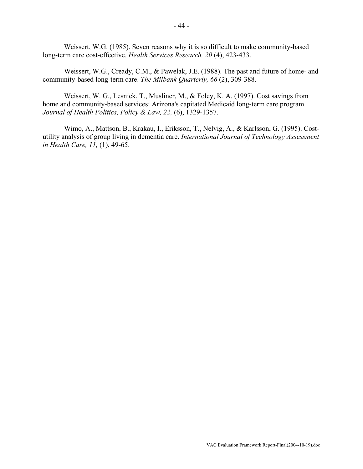Weissert, W.G. (1985). Seven reasons why it is so difficult to make community-based long-term care cost-effective. *Health Services Research, 20* (4), 423-433.

Weissert, W.G., Cready, C.M., & Pawelak, J.E. (1988). The past and future of home- and community-based long-term care. *The Milbank Quarterly, 66* (2), 309-388.

Weissert, W. G., Lesnick, T., Musliner, M., & Foley, K. A. (1997). Cost savings from home and community-based services: Arizona's capitated Medicaid long-term care program. *Journal of Health Politics, Policy & Law, 22,* (6), 1329-1357.

Wimo, A., Mattson, B., Krakau, I., Eriksson, T., Nelvig, A., & Karlsson, G. (1995). Costutility analysis of group living in dementia care. *International Journal of Technology Assessment in Health Care, 11,* (1), 49-65.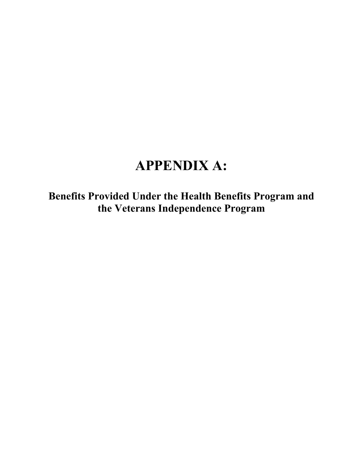# **APPENDIX A:**

**Benefits Provided Under the Health Benefits Program and the Veterans Independence Program**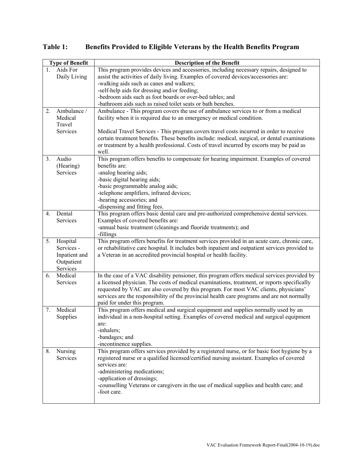|                  | <b>Type of Benefit</b> | <b>Description of the Benefit</b>                                                                                   |
|------------------|------------------------|---------------------------------------------------------------------------------------------------------------------|
| $\mathbf{1}$ .   | Aids For               | This program provides devices and accessories, including necessary repairs, designed to                             |
|                  | Daily Living           | assist the activities of daily living. Examples of covered devices/accessories are:                                 |
|                  |                        | -walking aids such as canes and walkers;                                                                            |
|                  |                        | -self-help aids for dressing and/or feeding;                                                                        |
|                  |                        | -bedroom aids such as foot boards or over-bed tables; and                                                           |
|                  |                        | -bathroom aids such as raised toilet seats or bath benches.                                                         |
| 2.               | Ambulance /            | Ambulance - This program covers the use of ambulance services to or from a medical                                  |
|                  | Medical                | facility when it is required due to an emergency or medical condition.                                              |
|                  | Travel                 |                                                                                                                     |
|                  | Services               | Medical Travel Services - This program covers travel costs incurred in order to receive                             |
|                  |                        | certain treatment benefits. These benefits include: medical, surgical, or dental examinations                       |
|                  |                        | or treatment by a health professional. Costs of travel incurred by escorts may be paid as                           |
|                  |                        | well.                                                                                                               |
| 3.               | Audio                  | This program offers benefits to compensate for hearing impairment. Examples of covered                              |
|                  | (Hearing)              | benefits are:                                                                                                       |
|                  | Services               | -analog hearing aids;                                                                                               |
|                  |                        | -basic digital hearing aids;                                                                                        |
|                  |                        | -basic programmable analog aids;                                                                                    |
|                  |                        | -telephone amplifiers, infrared devices;                                                                            |
|                  |                        | -hearing accessories; and                                                                                           |
|                  |                        | -dispensing and fitting fees.                                                                                       |
| $\overline{4}$ . | Dental                 | This program offers basic dental care and pre-authorized comprehensive dental services.                             |
|                  | Services               | Examples of covered benefits are:                                                                                   |
|                  |                        | -annual basic treatment (cleanings and fluoride treatments); and                                                    |
|                  |                        | -fillings                                                                                                           |
| 5.               | Hospital               | This program offers benefits for treatment services provided in an acute care, chronic care,                        |
|                  | Services -             | or rehabilitative care hospital. It includes both inpatient and outpatient services provided to                     |
|                  | Inpatient and          | a Veteran in an accredited provincial hospital or health facility.                                                  |
|                  | Outpatient             |                                                                                                                     |
|                  | Services               |                                                                                                                     |
| 6.               | Medical                | In the case of a VAC disability pensioner, this program offers medical services provided by                         |
|                  | Services               | a licensed physician. The costs of medical examinations, treatment, or reports specifically                         |
|                  |                        | requested by VAC are also covered by this program. For most VAC clients, physicians'                                |
|                  |                        | services are the responsibility of the provincial health care programs and are not normally                         |
| 7.               | Medical                | paid for under this program.<br>This program offers medical and surgical equipment and supplies normally used by an |
|                  | Supplies               | individual in a non-hospital setting. Examples of covered medical and surgical equipment                            |
|                  |                        | are:                                                                                                                |
|                  |                        | -inhalers;                                                                                                          |
|                  |                        | -bandages; and                                                                                                      |
|                  |                        | -incontinence supplies.                                                                                             |
| 8.               | Nursing                | This program offers services provided by a registered nurse, or for basic foot hygiene by a                         |
|                  | Services               | registered nurse or a qualified licensed/certified nursing assistant. Examples of covered                           |
|                  |                        | services are:                                                                                                       |
|                  |                        | -administering medications;                                                                                         |
|                  |                        | -application of dressings;                                                                                          |
|                  |                        | -counselling Veterans or caregivers in the use of medical supplies and health care; and                             |
|                  |                        | -foot care.                                                                                                         |
|                  |                        |                                                                                                                     |

**Table 1: Benefits Provided to Eligible Veterans by the Health Benefits Program**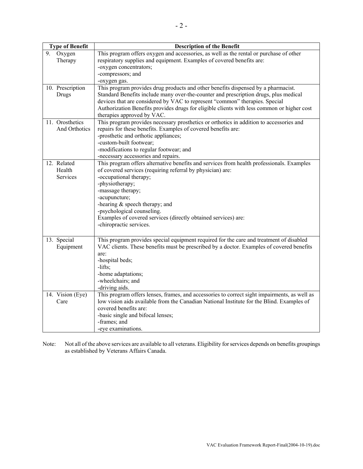| <b>Type of Benefit</b> | <b>Description of the Benefit</b>                                                            |
|------------------------|----------------------------------------------------------------------------------------------|
| 9.<br>Oxygen           | This program offers oxygen and accessories, as well as the rental or purchase of other       |
| Therapy                | respiratory supplies and equipment. Examples of covered benefits are:                        |
|                        | -oxygen concentrators;                                                                       |
|                        | -compressors; and                                                                            |
|                        | -oxygen gas.                                                                                 |
| 10. Prescription       | This program provides drug products and other benefits dispensed by a pharmacist.            |
| Drugs                  | Standard Benefits include many over-the-counter and prescription drugs, plus medical         |
|                        | devices that are considered by VAC to represent "common" therapies. Special                  |
|                        | Authorization Benefits provides drugs for eligible clients with less common or higher cost   |
|                        | therapies approved by VAC.                                                                   |
| 11. Orosthetics        | This program provides necessary prosthetics or orthotics in addition to accessories and      |
| And Orthotics          | repairs for these benefits. Examples of covered benefits are:                                |
|                        | -prosthetic and orthotic appliances;                                                         |
|                        | -custom-built footwear;                                                                      |
|                        | -modifications to regular footwear; and                                                      |
|                        | -necessary accessories and repairs.                                                          |
| 12. Related            | This program offers alternative benefits and services from health professionals. Examples    |
| Health                 | of covered services (requiring referral by physician) are:                                   |
| Services               | -occupational therapy;                                                                       |
|                        | -physiotherapy;                                                                              |
|                        | -massage therapy;                                                                            |
|                        | -acupuncture;                                                                                |
|                        | -hearing $&$ speech therapy; and                                                             |
|                        | -psychological counseling.<br>Examples of covered services (directly obtained services) are: |
|                        | -chiropractic services.                                                                      |
|                        |                                                                                              |
| 13. Special            | This program provides special equipment required for the care and treatment of disabled      |
| Equipment              | VAC clients. These benefits must be prescribed by a doctor. Examples of covered benefits     |
|                        | are:                                                                                         |
|                        | -hospital beds;                                                                              |
|                        | $-lifts$ ;                                                                                   |
|                        | -home adaptations;                                                                           |
|                        | -wheelchairs; and                                                                            |
|                        | -driving aids.                                                                               |
| 14. Vision (Eye)       | This program offers lenses, frames, and accessories to correct sight impairments, as well as |
| Care                   | low vision aids available from the Canadian National Institute for the Blind. Examples of    |
|                        | covered benefits are:                                                                        |
|                        | -basic single and bifocal lenses;                                                            |
|                        | -frames; and                                                                                 |
|                        | -eye examinations.                                                                           |
|                        |                                                                                              |

Note: Not all of the above services are available to all veterans. Eligibility for services depends on benefits groupings as established by Veterans Affairs Canada.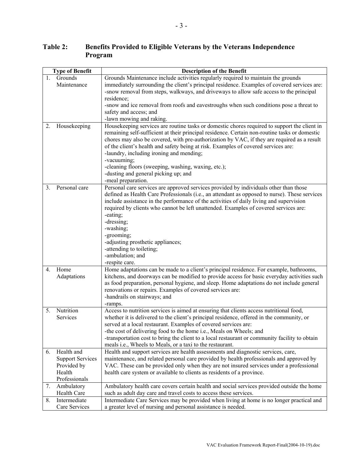| <b>Type of Benefit</b> |                         | <b>Description of the Benefit</b>                                                              |
|------------------------|-------------------------|------------------------------------------------------------------------------------------------|
| 1.                     | Grounds                 | Grounds Maintenance include activities regularly required to maintain the grounds              |
|                        | Maintenance             | immediately surrounding the client's principal residence. Examples of covered services are:    |
|                        |                         | -snow removal from steps, walkways, and driveways to allow safe access to the principal        |
|                        |                         | residence;                                                                                     |
|                        |                         | -snow and ice removal from roofs and eavestroughs when such conditions pose a threat to        |
|                        |                         | safety and access; and                                                                         |
|                        |                         | -lawn mowing and raking.                                                                       |
| 2.                     | Housekeeping            | Housekeeping services are routine tasks or domestic chores required to support the client in   |
|                        |                         | remaining self-sufficient at their principal residence. Certain non-routine tasks or domestic  |
|                        |                         | chores may also be covered, with pre-authorization by VAC, if they are required as a result    |
|                        |                         | of the client's health and safety being at risk. Examples of covered services are:             |
|                        |                         | -laundry, including ironing and mending;                                                       |
|                        |                         | -vacuuming;                                                                                    |
|                        |                         | -cleaning floors (sweeping, washing, waxing, etc.);                                            |
|                        |                         | -dusting and general picking up; and                                                           |
|                        |                         | -meal preparation.                                                                             |
| 3.                     | Personal care           | Personal care services are approved services provided by individuals other than those          |
|                        |                         | defined as Health Care Professionals (i.e., an attendant as opposed to nurse). These services  |
|                        |                         | include assistance in the performance of the activities of daily living and supervision        |
|                        |                         | required by clients who cannot be left unattended. Examples of covered services are:           |
|                        |                         | -eating;                                                                                       |
|                        |                         | -dressing;                                                                                     |
|                        |                         | -washing;                                                                                      |
|                        |                         | -grooming;                                                                                     |
|                        |                         | -adjusting prosthetic appliances;<br>-attending to toileting;                                  |
|                        |                         | -ambulation; and                                                                               |
|                        |                         | -respite care.                                                                                 |
| 4.                     | Home                    | Home adaptations can be made to a client's principal residence. For example, bathrooms,        |
|                        | Adaptations             | kitchens, and doorways can be modified to provide access for basic everyday activities such    |
|                        |                         | as food preparation, personal hygiene, and sleep. Home adaptations do not include general      |
|                        |                         | renovations or repairs. Examples of covered services are:                                      |
|                        |                         | -handrails on stairways; and                                                                   |
|                        |                         | -ramps.                                                                                        |
| 5.                     | Nutrition               | Access to nutrition services is aimed at ensuring that clients access nutritional food,        |
|                        | Services                | whether it is delivered to the client's principal residence, offered in the community, or      |
|                        |                         | served at a local restaurant. Examples of covered services are:                                |
|                        |                         | -the cost of delivering food to the home i.e., Meals on Wheels; and                            |
|                        |                         | -transportation cost to bring the client to a local restaurant or community facility to obtain |
|                        |                         | meals i.e., Wheels to Meals, or a taxi to the restaurant.                                      |
| 6.                     | Health and              | Health and support services are health assessments and diagnostic services, care,              |
|                        | <b>Support Services</b> | maintenance, and related personal care provided by health professionals and approved by        |
|                        | Provided by             | VAC. These can be provided only when they are not insured services under a professional        |
|                        | Health                  | health care system or available to clients as residents of a province.                         |
|                        | Professionals           |                                                                                                |
| 7.                     | Ambulatory              | Ambulatory health care covers certain health and social services provided outside the home     |
|                        | Health Care             | such as adult day care and travel costs to access these services.                              |
| 8.                     | Intermediate            | Intermediate Care Services may be provided when living at home is no longer practical and      |
|                        | Care Services           | a greater level of nursing and personal assistance is needed.                                  |

# **Table 2: Benefits Provided to Eligible Veterans by the Veterans Independence Program**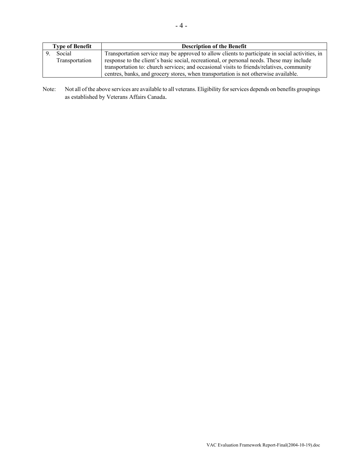| <b>Type of Benefit</b> | <b>Description of the Benefit</b>                                                               |
|------------------------|-------------------------------------------------------------------------------------------------|
| Social                 | Transportation service may be approved to allow clients to participate in social activities, in |
| Transportation         | response to the client's basic social, recreational, or personal needs. These may include       |
|                        | transportation to: church services; and occasional visits to friends/relatives, community       |
|                        | centres, banks, and grocery stores, when transportation is not otherwise available.             |

Note: Not all of the above services are available to all veterans. Eligibility for services depends on benefits groupings as established by Veterans Affairs Canada.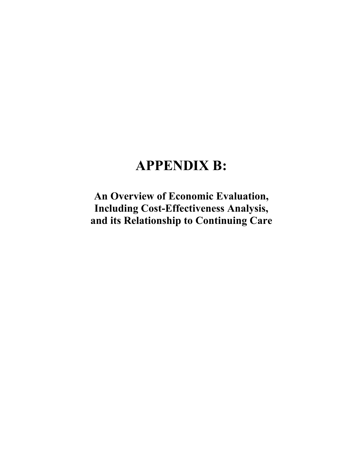# **APPENDIX B:**

**An Overview of Economic Evaluation, Including Cost-Effectiveness Analysis, and its Relationship to Continuing Care**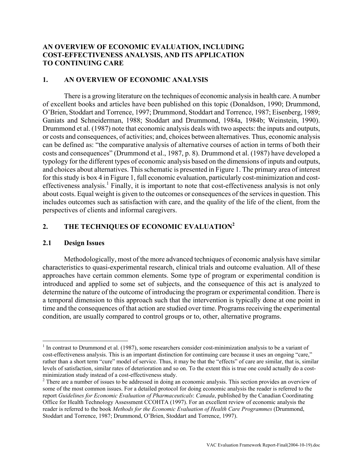# **AN OVERVIEW OF ECONOMIC EVALUATION, INCLUDING COST-EFFECTIVENESS ANALYSIS, AND ITS APPLICATION TO CONTINUING CARE**

#### **1. AN OVERVIEW OF ECONOMIC ANALYSIS**

There is a growing literature on the techniques of economic analysis in health care. A number of excellent books and articles have been published on this topic (Donaldson, 1990; Drummond, O'Brien, Stoddart and Torrence, 1997; Drummond, Stoddart and Torrence, 1987; Eisenberg, 1989; Ganiats and Schneiderman, 1988; Stoddart and Drummond, 1984a, 1984b; Weinstein, 1990). Drummond et al. (1987) note that economic analysis deals with two aspects: the inputs and outputs, or costs and consequences, of activities; and, choices between alternatives. Thus, economic analysis can be defined as: "the comparative analysis of alternative courses of action in terms of both their costs and consequences" (Drummond et al., 1987, p. 8). Drummond et al. (1987) have developed a typology for the different types of economic analysis based on the dimensions of inputs and outputs, and choices about alternatives. This schematic is presented in Figure 1. The primary area of interest for this study is box 4 in Figure 1, full economic evaluation, particularly cost-minimization and cost-effectiveness analysis.<sup>[1](#page-55-0)</sup> Finally, it is important to note that cost-effectiveness analysis is not only about costs. Equal weight is given to the outcomes or consequences of the services in question. This includes outcomes such as satisfaction with care, and the quality of the life of the client, from the perspectives of clients and informal caregivers.

# **2. THE TECHNIQUES OF ECONOMIC EVALUATION[2](#page-55-1)**

#### **2.1 Design Issues**

 $\overline{a}$ 

Methodologically, most of the more advanced techniques of economic analysis have similar characteristics to quasi-experimental research, clinical trials and outcome evaluation. All of these approaches have certain common elements. Some type of program or experimental condition is introduced and applied to some set of subjects, and the consequence of this act is analyzed to determine the nature of the outcome of introducing the program or experimental condition. There is a temporal dimension to this approach such that the intervention is typically done at one point in time and the consequences of that action are studied over time. Programs receiving the experimental condition, are usually compared to control groups or to, other, alternative programs.

<span id="page-55-0"></span> $<sup>1</sup>$  In contrast to Drummond et al. (1987), some researchers consider cost-minimization analysis to be a variant of</sup> cost-effectiveness analysis. This is an important distinction for continuing care because it uses an ongoing "care," rather than a short term "cure" model of service. Thus, it may be that the "effects" of care are similar, that is, similar levels of satisfaction, similar rates of deterioration and so on. To the extent this is true one could actually do a costminimization study instead of a cost-effectiveness study. 2

<span id="page-55-1"></span><sup>&</sup>lt;sup>2</sup> There are a number of issues to be addressed in doing an economic analysis. This section provides an overview of some of the most common issues. For a detailed protocol for doing economic analysis the reader is referred to the report *Guidelines for Economic Evaluation of Pharmaceuticals*: *Canada*, published by the Canadian Coordinating Office for Health Technology Assessment CCOHTA (1997). For an excellent review of economic analysis the reader is referred to the book *Methods for the Economic Evaluation of Health Care Programmes* (Drummond, Stoddart and Torrence, 1987; Drummond, O'Brien, Stoddart and Torrence, 1997).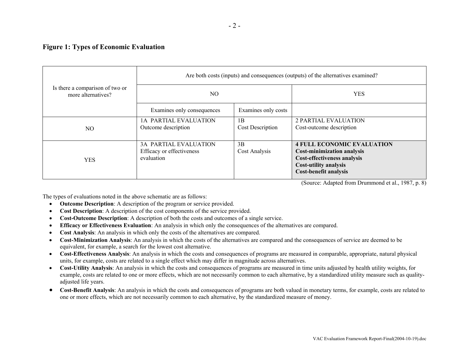#### **Figure 1: Types of Economic Evaluation**

|                                                       | Are both costs (inputs) and consequences (outputs) of the alternatives examined? |                               |                                                                                                                                                                       |  |
|-------------------------------------------------------|----------------------------------------------------------------------------------|-------------------------------|-----------------------------------------------------------------------------------------------------------------------------------------------------------------------|--|
| Is there a comparison of two or<br>more alternatives? | NO.                                                                              |                               | <b>YES</b>                                                                                                                                                            |  |
|                                                       | Examines only consequences                                                       | Examines only costs           |                                                                                                                                                                       |  |
| NO.                                                   | 1A PARTIAL EVALUATION<br>Outcome description                                     | 1B<br><b>Cost Description</b> | <b>2 PARTIAL EVALUATION</b><br>Cost-outcome description                                                                                                               |  |
| <b>YES</b>                                            | <b>3A PARTIAL EVALUATION</b><br>Efficacy or effectiveness<br>evaluation          | 3B<br>Cost Analysis           | <b>4 FULL ECONOMIC EVALUATION</b><br><b>Cost-minimization analysis</b><br>Cost-effectiveness analysis<br><b>Cost-utility analysis</b><br><b>Cost-benefit analysis</b> |  |

(Source: Adapted from Drummond et al., 1987, p. 8)

The types of evaluations noted in the above schematic are as follows:

- **Outcome Description**: A description of the program or service provided.
- **Cost Description**: A description of the cost components of the service provided.
- **Cost-Outcome Description**: A description of both the costs and outcomes of a single service.
- **Efficacy or Effectiveness Evaluation**: An analysis in which only the consequences of the alternatives are compared.
- **Cost Analysis**: An analysis in which only the costs of the alternatives are compared.
- **Cost-Minimization Analysis**: An analysis in which the costs of the alternatives are compared and the consequences of service are deemed to be equivalent, for example, a search for the lowest cost alternative.
- **Cost-Effectiveness Analysis**: An analysis in which the costs and consequences of programs are measured in comparable, appropriate, natural physical units, for example, costs are related to a single effect which may differ in magnitude across alternatives.
- **Cost-Utility Analysis**: An analysis in which the costs and consequences of programs are measured in time units adjusted by health utility weights, for example, costs are related to one or more effects, which are not necessarily common to each alternative, by a standardized utility measure such as qualityadjusted life years.
- **Cost-Benefit Analysis**: An analysis in which the costs and consequences of programs are both valued in monetary terms, for example, costs are related to one or more effects, which are not necessarily common to each alternative, by the standardized measure of money.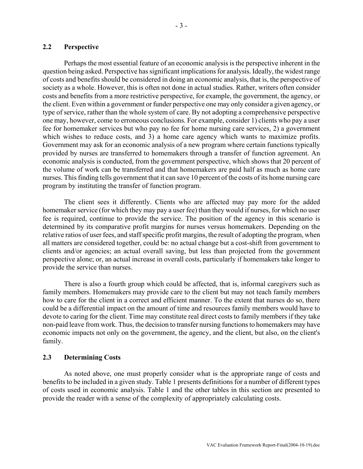# **2.2 Perspective**

Perhaps the most essential feature of an economic analysis is the perspective inherent in the question being asked. Perspective has significant implications for analysis. Ideally, the widest range of costs and benefits should be considered in doing an economic analysis, that is, the perspective of society as a whole. However, this is often not done in actual studies. Rather, writers often consider costs and benefits from a more restrictive perspective, for example, the government, the agency, or the client. Even within a government or funder perspective one may only consider a given agency, or type of service, rather than the whole system of care. By not adopting a comprehensive perspective one may, however, come to erroneous conclusions. For example, consider 1) clients who pay a user fee for homemaker services but who pay no fee for home nursing care services, 2) a government which wishes to reduce costs, and 3) a home care agency which wants to maximize profits. Government may ask for an economic analysis of a new program where certain functions typically provided by nurses are transferred to homemakers through a transfer of function agreement. An economic analysis is conducted, from the government perspective, which shows that 20 percent of the volume of work can be transferred and that homemakers are paid half as much as home care nurses. This finding tells government that it can save 10 percent of the costs of its home nursing care program by instituting the transfer of function program.

The client sees it differently. Clients who are affected may pay more for the added homemaker service (for which they may pay a user fee) than they would if nurses, for which no user fee is required, continue to provide the service. The position of the agency in this scenario is determined by its comparative profit margins for nurses versus homemakers. Depending on the relative ratios of user fees, and staff specific profit margins, the result of adopting the program, when all matters are considered together, could be: no actual change but a cost-shift from government to clients and/or agencies; an actual overall saving, but less than projected from the government perspective alone; or, an actual increase in overall costs, particularly if homemakers take longer to provide the service than nurses.

There is also a fourth group which could be affected, that is, informal caregivers such as family members. Homemakers may provide care to the client but may not teach family members how to care for the client in a correct and efficient manner. To the extent that nurses do so, there could be a differential impact on the amount of time and resources family members would have to devote to caring for the client. Time may constitute real direct costs to family members if they take non-paid leave from work. Thus, the decision to transfer nursing functions to homemakers may have economic impacts not only on the government, the agency, and the client, but also, on the client's family.

#### **2.3 Determining Costs**

As noted above, one must properly consider what is the appropriate range of costs and benefits to be included in a given study. Table 1 presents definitions for a number of different types of costs used in economic analysis. Table 1 and the other tables in this section are presented to provide the reader with a sense of the complexity of appropriately calculating costs.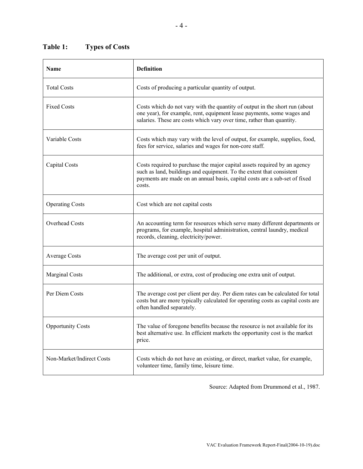# **Table 1: Types of Costs**

| <b>Name</b>               | <b>Definition</b>                                                                                                                                                                                                                         |  |  |
|---------------------------|-------------------------------------------------------------------------------------------------------------------------------------------------------------------------------------------------------------------------------------------|--|--|
| <b>Total Costs</b>        | Costs of producing a particular quantity of output.                                                                                                                                                                                       |  |  |
| <b>Fixed Costs</b>        | Costs which do not vary with the quantity of output in the short run (about<br>one year), for example, rent, equipment lease payments, some wages and<br>salaries. These are costs which vary over time, rather than quantity.            |  |  |
| Variable Costs            | Costs which may vary with the level of output, for example, supplies, food,<br>fees for service, salaries and wages for non-core staff.                                                                                                   |  |  |
| Capital Costs             | Costs required to purchase the major capital assets required by an agency<br>such as land, buildings and equipment. To the extent that consistent<br>payments are made on an annual basis, capital costs are a sub-set of fixed<br>costs. |  |  |
| <b>Operating Costs</b>    | Cost which are not capital costs                                                                                                                                                                                                          |  |  |
| <b>Overhead Costs</b>     | An accounting term for resources which serve many different departments or<br>programs, for example, hospital administration, central laundry, medical<br>records, cleaning, electricity/power.                                           |  |  |
| <b>Average Costs</b>      | The average cost per unit of output.                                                                                                                                                                                                      |  |  |
| Marginal Costs            | The additional, or extra, cost of producing one extra unit of output.                                                                                                                                                                     |  |  |
| Per Diem Costs            | The average cost per client per day. Per diem rates can be calculated for total<br>costs but are more typically calculated for operating costs as capital costs are<br>often handled separately.                                          |  |  |
| <b>Opportunity Costs</b>  | The value of foregone benefits because the resource is not available for its<br>best alternative use. In efficient markets the opportunity cost is the market<br>price.                                                                   |  |  |
| Non-Market/Indirect Costs | Costs which do not have an existing, or direct, market value, for example,<br>volunteer time, family time, leisure time.                                                                                                                  |  |  |

Source: Adapted from Drummond et al., 1987.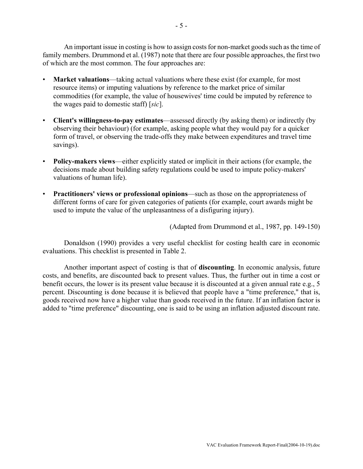An important issue in costing is how to assign costs for non-market goods such as the time of family members. Drummond et al. (1987) note that there are four possible approaches, the first two of which are the most common. The four approaches are:

- **Market valuations**—taking actual valuations where these exist (for example, for most resource items) or imputing valuations by reference to the market price of similar commodities (for example, the value of housewives' time could be imputed by reference to the wages paid to domestic staff) [*sic*].
- **Client's willingness-to-pay estimates**—assessed directly (by asking them) or indirectly (by observing their behaviour) (for example, asking people what they would pay for a quicker form of travel, or observing the trade-offs they make between expenditures and travel time savings).
- **Policy-makers views**—either explicitly stated or implicit in their actions (for example, the decisions made about building safety regulations could be used to impute policy-makers' valuations of human life).
- **Practitioners' views or professional opinions**—such as those on the appropriateness of different forms of care for given categories of patients (for example, court awards might be used to impute the value of the unpleasantness of a disfiguring injury).

(Adapted from Drummond et al., 1987, pp. 149-150)

Donaldson (1990) provides a very useful checklist for costing health care in economic evaluations. This checklist is presented in Table 2.

Another important aspect of costing is that of **discounting**. In economic analysis, future costs, and benefits, are discounted back to present values. Thus, the further out in time a cost or benefit occurs, the lower is its present value because it is discounted at a given annual rate e.g., 5 percent. Discounting is done because it is believed that people have a "time preference," that is, goods received now have a higher value than goods received in the future. If an inflation factor is added to "time preference" discounting, one is said to be using an inflation adjusted discount rate.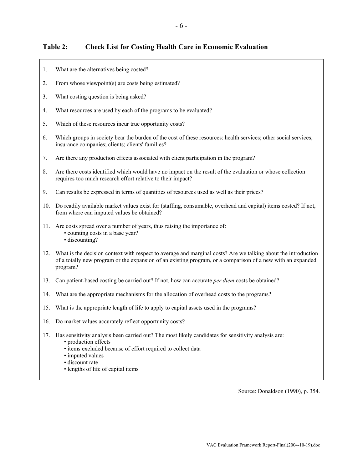# **Table 2: Check List for Costing Health Care in Economic Evaluation**

- 1. What are the alternatives being costed?
- 2. From whose viewpoint(s) are costs being estimated?
- 3. What costing question is being asked?
- 4. What resources are used by each of the programs to be evaluated?
- 5. Which of these resources incur true opportunity costs?
- 6. Which groups in society bear the burden of the cost of these resources: health services; other social services; insurance companies; clients; clients' families?
- 7. Are there any production effects associated with client participation in the program?
- 8. Are there costs identified which would have no impact on the result of the evaluation or whose collection requires too much research effort relative to their impact?
- 9. Can results be expressed in terms of quantities of resources used as well as their prices?
- 10. Do readily available market values exist for (staffing, consumable, overhead and capital) items costed? If not, from where can imputed values be obtained?
- 11. Are costs spread over a number of years, thus raising the importance of: • counting costs in a base year? • discounting?
- 12. What is the decision context with respect to average and marginal costs? Are we talking about the introduction of a totally new program or the expansion of an existing program, or a comparison of a new with an expanded program?
- 13. Can patient-based costing be carried out? If not, how can accurate *per diem* costs be obtained?
- 14. What are the appropriate mechanisms for the allocation of overhead costs to the programs?
- 15. What is the appropriate length of life to apply to capital assets used in the programs?
- 16. Do market values accurately reflect opportunity costs?
- 17. Has sensitivity analysis been carried out? The most likely candidates for sensitivity analysis are:
	- production effects
	- items excluded because of effort required to collect data
	- imputed values
	- discount rate
	- lengths of life of capital items

Source: Donaldson (1990), p. 354.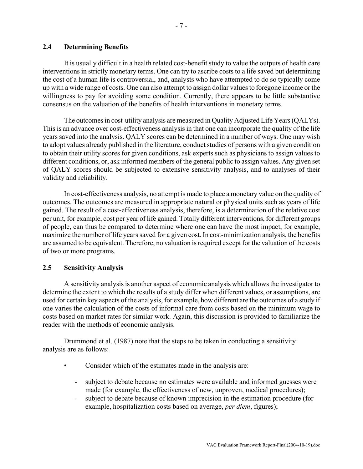It is usually difficult in a health related cost-benefit study to value the outputs of health care interventions in strictly monetary terms. One can try to ascribe costs to a life saved but determining the cost of a human life is controversial, and, analysts who have attempted to do so typically come up with a wide range of costs. One can also attempt to assign dollar values to foregone income or the willingness to pay for avoiding some condition. Currently, there appears to be little substantive consensus on the valuation of the benefits of health interventions in monetary terms.

The outcomes in cost-utility analysis are measured in Quality Adjusted Life Years (QALYs). This is an advance over cost-effectiveness analysis in that one can incorporate the quality of the life years saved into the analysis. QALY scores can be determined in a number of ways. One may wish to adopt values already published in the literature, conduct studies of persons with a given condition to obtain their utility scores for given conditions, ask experts such as physicians to assign values to different conditions, or, ask informed members of the general public to assign values. Any given set of QALY scores should be subjected to extensive sensitivity analysis, and to analyses of their validity and reliability.

In cost-effectiveness analysis, no attempt is made to place a monetary value on the quality of outcomes. The outcomes are measured in appropriate natural or physical units such as years of life gained. The result of a cost-effectiveness analysis, therefore, is a determination of the relative cost per unit, for example, cost per year of life gained. Totally different interventions, for different groups of people, can thus be compared to determine where one can have the most impact, for example, maximize the number of life years saved for a given cost. In cost-minimization analysis, the benefits are assumed to be equivalent. Therefore, no valuation is required except for the valuation of the costs of two or more programs.

#### **2.5 Sensitivity Analysis**

A sensitivity analysis is another aspect of economic analysis which allows the investigator to determine the extent to which the results of a study differ when different values, or assumptions, are used for certain key aspects of the analysis, for example, how different are the outcomes of a study if one varies the calculation of the costs of informal care from costs based on the minimum wage to costs based on market rates for similar work. Again, this discussion is provided to familiarize the reader with the methods of economic analysis.

Drummond et al. (1987) note that the steps to be taken in conducting a sensitivity analysis are as follows:

- Consider which of the estimates made in the analysis are:
	- subject to debate because no estimates were available and informed guesses were made (for example, the effectiveness of new, unproven, medical procedures);
	- subject to debate because of known imprecision in the estimation procedure (for example, hospitalization costs based on average, *per diem*, figures);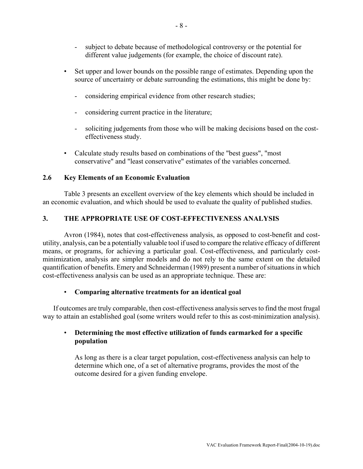- subject to debate because of methodological controversy or the potential for different value judgements (for example, the choice of discount rate).
- Set upper and lower bounds on the possible range of estimates. Depending upon the source of uncertainty or debate surrounding the estimations, this might be done by:
	- considering empirical evidence from other research studies;
	- considering current practice in the literature;
	- soliciting judgements from those who will be making decisions based on the costeffectiveness study.
- Calculate study results based on combinations of the "best guess", "most conservative" and "least conservative" estimates of the variables concerned.

#### **2.6 Key Elements of an Economic Evaluation**

Table 3 presents an excellent overview of the key elements which should be included in an economic evaluation, and which should be used to evaluate the quality of published studies.

#### **3. THE APPROPRIATE USE OF COST-EFFECTIVENESS ANALYSIS**

Avron (1984), notes that cost-effectiveness analysis, as opposed to cost-benefit and costutility, analysis, can be a potentially valuable tool if used to compare the relative efficacy of different means, or programs, for achieving a particular goal. Cost-effectiveness, and particularly costminimization, analysis are simpler models and do not rely to the same extent on the detailed quantification of benefits. Emery and Schneiderman (1989) present a number of situations in which cost-effectiveness analysis can be used as an appropriate technique. These are:

#### • **Comparing alternative treatments for an identical goal**

If outcomes are truly comparable, then cost-effectiveness analysis serves to find the most frugal way to attain an established goal (some writers would refer to this as cost-minimization analysis).

# • **Determining the most effective utilization of funds earmarked for a specific population**

As long as there is a clear target population, cost-effectiveness analysis can help to determine which one, of a set of alternative programs, provides the most of the outcome desired for a given funding envelope.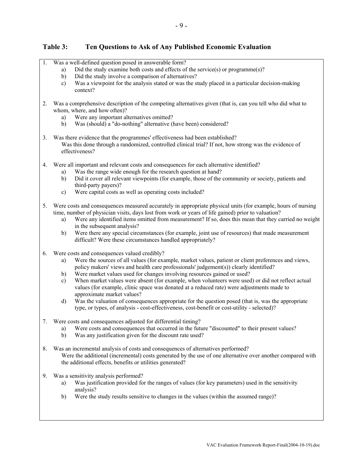# **Table 3: Ten Questions to Ask of Any Published Economic Evaluation**

| 1. | Was a well-defined question posed in answerable form?                                                                                                                                                             |
|----|-------------------------------------------------------------------------------------------------------------------------------------------------------------------------------------------------------------------|
|    | Did the study examine both costs and effects of the service(s) or programme(s)?<br>a)                                                                                                                             |
|    | Did the study involve a comparison of alternatives?<br>b)<br>Was a viewpoint for the analysis stated or was the study placed in a particular decision-making<br>$\mathbf{c})$                                     |
|    | context?                                                                                                                                                                                                          |
| 2. | Was a comprehensive description of the competing alternatives given (that is, can you tell who did what to<br>whom, where, and how often)?                                                                        |
|    | Were any important alternatives omitted?<br>a)                                                                                                                                                                    |
|    | Was (should) a "do-nothing" alternative (have been) considered?<br>b)                                                                                                                                             |
| 3. | Was there evidence that the programmes' effectiveness had been established?<br>Was this done through a randomized, controlled clinical trial? If not, how strong was the evidence of<br>effectiveness?            |
| 4. | Were all important and relevant costs and consequences for each alternative identified?                                                                                                                           |
|    | Was the range wide enough for the research question at hand?<br>a)<br>Did it cover all relevant viewpoints (for example, those of the community or society, patients and<br>b)                                    |
|    | third-party payers)?<br>Were capital costs as well as operating costs included?<br>$\mathbf{c})$                                                                                                                  |
| 5. | Were costs and consequences measured accurately in appropriate physical units (for example, hours of nursing                                                                                                      |
|    | time, number of physician visits, days lost from work or years of life gained) prior to valuation?<br>Were any identified items omitted from measurement? If so, does this mean that they carried no weight       |
|    | a)<br>in the subsequent analysis?                                                                                                                                                                                 |
|    | Were there any special circumstances (for example, joint use of resources) that made measurement<br>b)                                                                                                            |
|    | difficult? Were these circumstances handled appropriately?                                                                                                                                                        |
| 6. | Were costs and consequences valued credibly?                                                                                                                                                                      |
|    | Were the sources of all values (for example, market values, patient or client preferences and views,<br>a)                                                                                                        |
|    | policy makers' views and health care professionals' judgement(s)) clearly identified?<br>Were market values used for changes involving resources gained or used?<br>b)                                            |
|    | When market values were absent (for example, when volunteers were used) or did not reflect actual<br>$\mathbf{c})$                                                                                                |
|    | values (for example, clinic space was donated at a reduced rate) were adjustments made to                                                                                                                         |
|    | approximate market values?                                                                                                                                                                                        |
|    | Was the valuation of consequences appropriate for the question posed (that is, was the appropriate<br>$\mathbf{d}$<br>type, or types, of analysis - cost-effectiveness, cost-benefit or cost-utility - selected)? |
| 7. | Were costs and consequences adjusted for differential timing?                                                                                                                                                     |
|    | Were costs and consequences that occurred in the future "discounted" to their present values?<br>a)                                                                                                               |
|    | Was any justification given for the discount rate used?<br>b)                                                                                                                                                     |
| 8. | Was an incremental analysis of costs and consequences of alternatives performed?                                                                                                                                  |
|    | Were the additional (incremental) costs generated by the use of one alternative over another compared with<br>the additional effects, benefits or utilities generated?                                            |
|    |                                                                                                                                                                                                                   |
| 9. | Was a sensitivity analysis performed?                                                                                                                                                                             |
|    | Was justification provided for the ranges of values (for key parameters) used in the sensitivity<br>a)<br>analysis?                                                                                               |
|    | Were the study results sensitive to changes in the values (within the assumed range)?<br>b)                                                                                                                       |
|    |                                                                                                                                                                                                                   |
|    |                                                                                                                                                                                                                   |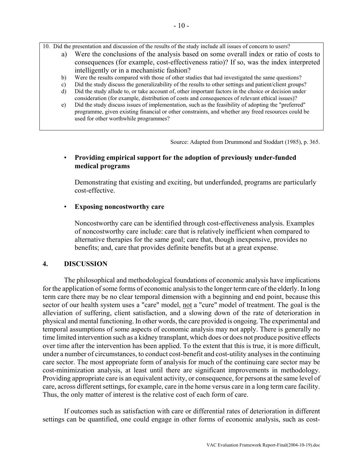10. Did the presentation and discussion of the results of the study include all issues of concern to users?

- a) Were the conclusions of the analysis based on some overall index or ratio of costs to consequences (for example, cost-effectiveness ratio)? If so, was the index interpreted intelligently or in a mechanistic fashion?
- b) Were the results compared with those of other studies that had investigated the same questions?
- c) Did the study discuss the generalizability of the results to other settings and patient/client groups?
- d) Did the study allude to, or take account of, other important factors in the choice or decision under consideration (for example, distribution of costs and consequences of relevant ethical issues)?
- e) Did the study discuss issues of implementation, such as the feasibility of adopting the "preferred" programme, given existing financial or other constraints, and whether any freed resources could be used for other worthwhile programmes?

Source: Adapted from Drummond and Stoddart (1985), p. 365.

### • **Providing empirical support for the adoption of previously under-funded medical programs**

Demonstrating that existing and exciting, but underfunded, programs are particularly cost-effective.

#### • **Exposing noncostworthy care**

Noncostworthy care can be identified through cost-effectiveness analysis. Examples of noncostworthy care include: care that is relatively inefficient when compared to alternative therapies for the same goal; care that, though inexpensive, provides no benefits; and, care that provides definite benefits but at a great expense.

#### **4. DISCUSSION**

The philosophical and methodological foundations of economic analysis have implications for the application of some forms of economic analysis to the longer term care of the elderly. In long term care there may be no clear temporal dimension with a beginning and end point, because this sector of our health system uses a "care" model, not a "cure" model of treatment. The goal is the alleviation of suffering, client satisfaction, and a slowing down of the rate of deterioration in physical and mental functioning. In other words, the care provided is ongoing. The experimental and temporal assumptions of some aspects of economic analysis may not apply. There is generally no time limited intervention such as a kidney transplant, which does or does not produce positive effects over time after the intervention has been applied. To the extent that this is true, it is more difficult, under a number of circumstances, to conduct cost-benefit and cost-utility analyses in the continuing care sector. The most appropriate form of analysis for much of the continuing care sector may be cost-minimization analysis, at least until there are significant improvements in methodology. Providing appropriate care is an equivalent activity, or consequence, for persons at the same level of care, across different settings, for example, care in the home versus care in a long term care facility. Thus, the only matter of interest is the relative cost of each form of care.

If outcomes such as satisfaction with care or differential rates of deterioration in different settings can be quantified, one could engage in other forms of economic analysis, such as cost